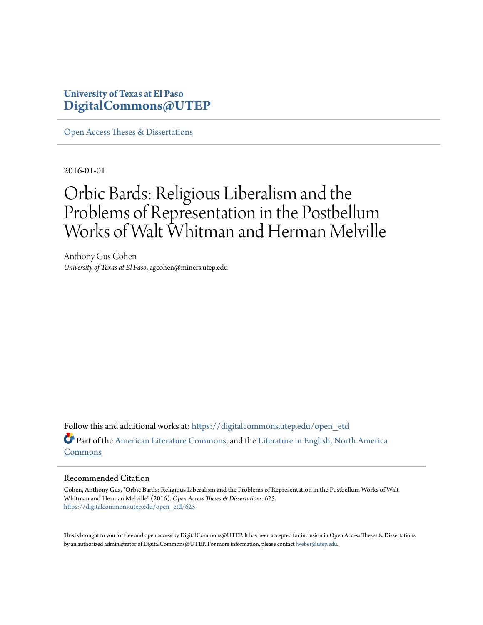## **University of Texas at El Paso [DigitalCommons@UTEP](https://digitalcommons.utep.edu/?utm_source=digitalcommons.utep.edu%2Fopen_etd%2F625&utm_medium=PDF&utm_campaign=PDFCoverPages)**

[Open Access Theses & Dissertations](https://digitalcommons.utep.edu/open_etd?utm_source=digitalcommons.utep.edu%2Fopen_etd%2F625&utm_medium=PDF&utm_campaign=PDFCoverPages)

2016-01-01

## Orbic Bards: Religious Liberalism and the Problems of Representation in the Postbellum Works of Walt Whitman and Herman Melville

Anthony Gus Cohen *University of Texas at El Paso*, agcohen@miners.utep.edu

Follow this and additional works at: [https://digitalcommons.utep.edu/open\\_etd](https://digitalcommons.utep.edu/open_etd?utm_source=digitalcommons.utep.edu%2Fopen_etd%2F625&utm_medium=PDF&utm_campaign=PDFCoverPages) Part of the [American Literature Commons,](http://network.bepress.com/hgg/discipline/441?utm_source=digitalcommons.utep.edu%2Fopen_etd%2F625&utm_medium=PDF&utm_campaign=PDFCoverPages) and the [Literature in English, North America](http://network.bepress.com/hgg/discipline/458?utm_source=digitalcommons.utep.edu%2Fopen_etd%2F625&utm_medium=PDF&utm_campaign=PDFCoverPages) [Commons](http://network.bepress.com/hgg/discipline/458?utm_source=digitalcommons.utep.edu%2Fopen_etd%2F625&utm_medium=PDF&utm_campaign=PDFCoverPages)

#### Recommended Citation

Cohen, Anthony Gus, "Orbic Bards: Religious Liberalism and the Problems of Representation in the Postbellum Works of Walt Whitman and Herman Melville" (2016). *Open Access Theses & Dissertations*. 625. [https://digitalcommons.utep.edu/open\\_etd/625](https://digitalcommons.utep.edu/open_etd/625?utm_source=digitalcommons.utep.edu%2Fopen_etd%2F625&utm_medium=PDF&utm_campaign=PDFCoverPages)

This is brought to you for free and open access by DigitalCommons@UTEP. It has been accepted for inclusion in Open Access Theses & Dissertations by an authorized administrator of DigitalCommons@UTEP. For more information, please contact [lweber@utep.edu.](mailto:lweber@utep.edu)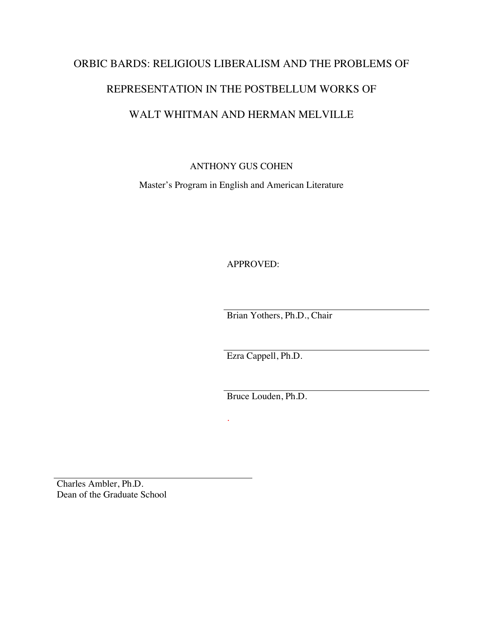# ORBIC BARDS: RELIGIOUS LIBERALISM AND THE PROBLEMS OF REPRESENTATION IN THE POSTBELLUM WORKS OF WALT WHITMAN AND HERMAN MELVILLE

ANTHONY GUS COHEN

Master's Program in English and American Literature

APPROVED:

Brian Yothers, Ph.D., Chair

Ezra Cappell, Ph.D.

Bruce Louden, Ph.D.

*.*

Charles Ambler, Ph.D. Dean of the Graduate School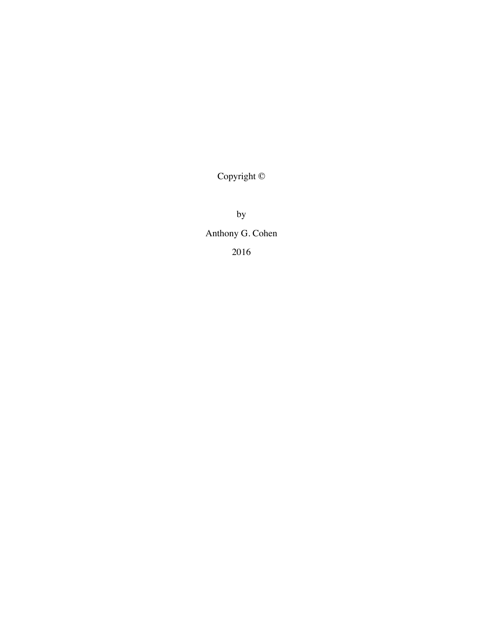Copyright ©

by Anthony G. Cohen 2016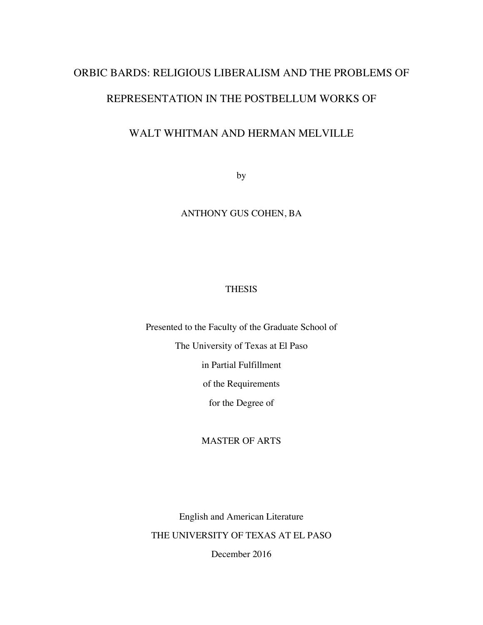## ORBIC BARDS: RELIGIOUS LIBERALISM AND THE PROBLEMS OF

#### REPRESENTATION IN THE POSTBELLUM WORKS OF

## WALT WHITMAN AND HERMAN MELVILLE

by

#### ANTHONY GUS COHEN, BA

#### THESIS

Presented to the Faculty of the Graduate School of The University of Texas at El Paso in Partial Fulfillment of the Requirements for the Degree of

#### MASTER OF ARTS

English and American Literature THE UNIVERSITY OF TEXAS AT EL PASO December 2016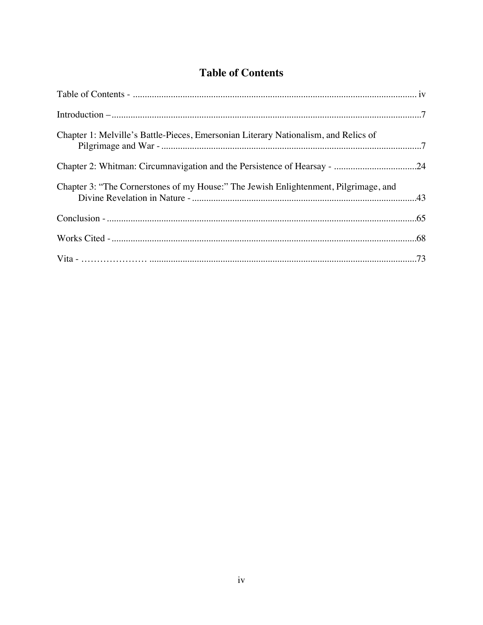## **Table of Contents**

| Chapter 1: Melville's Battle-Pieces, Emersonian Literary Nationalism, and Relics of  |  |
|--------------------------------------------------------------------------------------|--|
|                                                                                      |  |
| Chapter 3: "The Cornerstones of my House:" The Jewish Enlightenment, Pilgrimage, and |  |
|                                                                                      |  |
|                                                                                      |  |
|                                                                                      |  |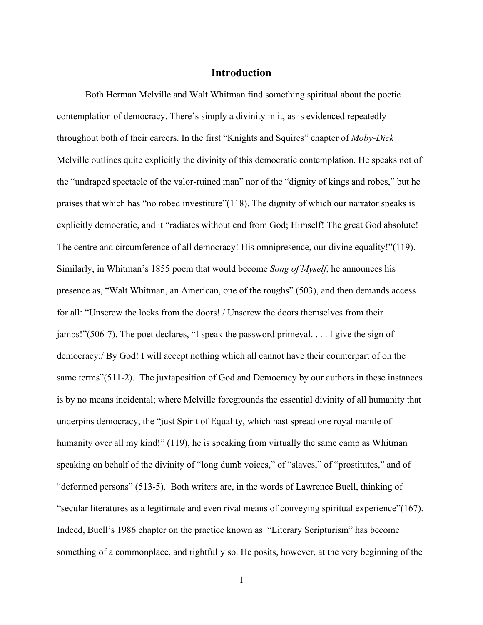#### **Introduction**

Both Herman Melville and Walt Whitman find something spiritual about the poetic contemplation of democracy. There's simply a divinity in it, as is evidenced repeatedly throughout both of their careers. In the first "Knights and Squires" chapter of *Moby-Dick* Melville outlines quite explicitly the divinity of this democratic contemplation. He speaks not of the "undraped spectacle of the valor-ruined man" nor of the "dignity of kings and robes," but he praises that which has "no robed investiture"(118). The dignity of which our narrator speaks is explicitly democratic, and it "radiates without end from God; Himself! The great God absolute! The centre and circumference of all democracy! His omnipresence, our divine equality!"(119). Similarly, in Whitman's 1855 poem that would become *Song of Myself*, he announces his presence as, "Walt Whitman, an American, one of the roughs" (503), and then demands access for all: "Unscrew the locks from the doors! / Unscrew the doors themselves from their jambs!"(506-7). The poet declares, "I speak the password primeval. . . . I give the sign of democracy;/ By God! I will accept nothing which all cannot have their counterpart of on the same terms"(511-2). The juxtaposition of God and Democracy by our authors in these instances is by no means incidental; where Melville foregrounds the essential divinity of all humanity that underpins democracy, the "just Spirit of Equality, which hast spread one royal mantle of humanity over all my kind!" (119), he is speaking from virtually the same camp as Whitman speaking on behalf of the divinity of "long dumb voices," of "slaves," of "prostitutes," and of "deformed persons" (513-5). Both writers are, in the words of Lawrence Buell, thinking of "secular literatures as a legitimate and even rival means of conveying spiritual experience"(167). Indeed, Buell's 1986 chapter on the practice known as "Literary Scripturism" has become something of a commonplace, and rightfully so. He posits, however, at the very beginning of the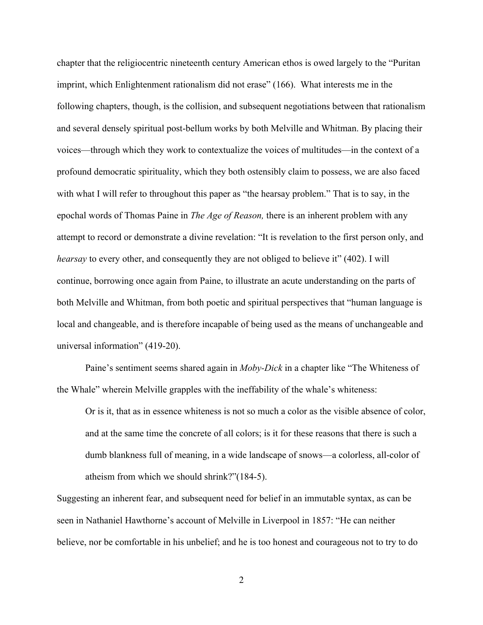chapter that the religiocentric nineteenth century American ethos is owed largely to the "Puritan imprint, which Enlightenment rationalism did not erase" (166). What interests me in the following chapters, though, is the collision, and subsequent negotiations between that rationalism and several densely spiritual post-bellum works by both Melville and Whitman. By placing their voices—through which they work to contextualize the voices of multitudes—in the context of a profound democratic spirituality, which they both ostensibly claim to possess, we are also faced with what I will refer to throughout this paper as "the hearsay problem." That is to say, in the epochal words of Thomas Paine in *The Age of Reason,* there is an inherent problem with any attempt to record or demonstrate a divine revelation: "It is revelation to the first person only, and *hearsay* to every other, and consequently they are not obliged to believe it" (402). I will continue, borrowing once again from Paine, to illustrate an acute understanding on the parts of both Melville and Whitman, from both poetic and spiritual perspectives that "human language is local and changeable, and is therefore incapable of being used as the means of unchangeable and universal information" (419-20).

Paine's sentiment seems shared again in *Moby-Dick* in a chapter like "The Whiteness of the Whale" wherein Melville grapples with the ineffability of the whale's whiteness:

Or is it, that as in essence whiteness is not so much a color as the visible absence of color, and at the same time the concrete of all colors; is it for these reasons that there is such a dumb blankness full of meaning, in a wide landscape of snows—a colorless, all-color of atheism from which we should shrink?"(184-5).

Suggesting an inherent fear, and subsequent need for belief in an immutable syntax, as can be seen in Nathaniel Hawthorne's account of Melville in Liverpool in 1857: "He can neither believe, nor be comfortable in his unbelief; and he is too honest and courageous not to try to do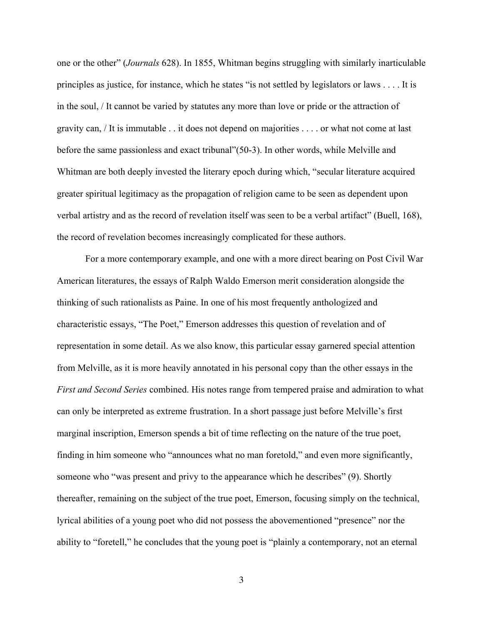one or the other" (*Journals* 628). In 1855, Whitman begins struggling with similarly inarticulable principles as justice, for instance, which he states "is not settled by legislators or laws . . . . It is in the soul, / It cannot be varied by statutes any more than love or pride or the attraction of gravity can, / It is immutable . . it does not depend on majorities . . . . or what not come at last before the same passionless and exact tribunal"(50-3). In other words, while Melville and Whitman are both deeply invested the literary epoch during which, "secular literature acquired greater spiritual legitimacy as the propagation of religion came to be seen as dependent upon verbal artistry and as the record of revelation itself was seen to be a verbal artifact" (Buell, 168), the record of revelation becomes increasingly complicated for these authors.

For a more contemporary example, and one with a more direct bearing on Post Civil War American literatures, the essays of Ralph Waldo Emerson merit consideration alongside the thinking of such rationalists as Paine. In one of his most frequently anthologized and characteristic essays, "The Poet," Emerson addresses this question of revelation and of representation in some detail. As we also know, this particular essay garnered special attention from Melville, as it is more heavily annotated in his personal copy than the other essays in the *First and Second Series* combined. His notes range from tempered praise and admiration to what can only be interpreted as extreme frustration. In a short passage just before Melville's first marginal inscription, Emerson spends a bit of time reflecting on the nature of the true poet, finding in him someone who "announces what no man foretold," and even more significantly, someone who "was present and privy to the appearance which he describes" (9). Shortly thereafter, remaining on the subject of the true poet, Emerson, focusing simply on the technical, lyrical abilities of a young poet who did not possess the abovementioned "presence" nor the ability to "foretell," he concludes that the young poet is "plainly a contemporary, not an eternal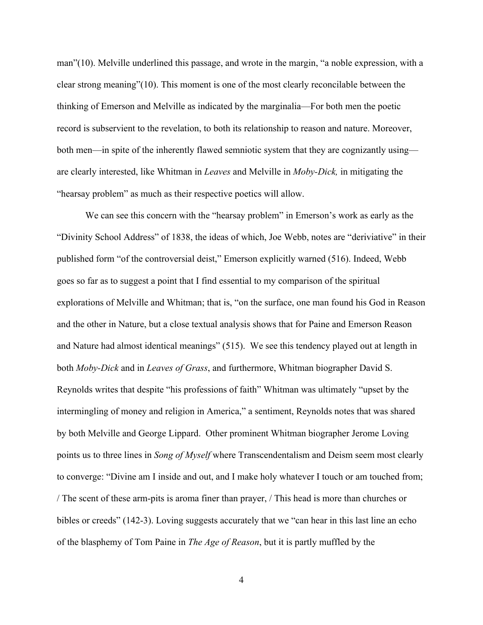man"(10). Melville underlined this passage, and wrote in the margin, "a noble expression, with a clear strong meaning"(10). This moment is one of the most clearly reconcilable between the thinking of Emerson and Melville as indicated by the marginalia—For both men the poetic record is subservient to the revelation, to both its relationship to reason and nature. Moreover, both men—in spite of the inherently flawed semniotic system that they are cognizantly using are clearly interested, like Whitman in *Leaves* and Melville in *Moby-Dick,* in mitigating the "hearsay problem" as much as their respective poetics will allow.

We can see this concern with the "hearsay problem" in Emerson's work as early as the "Divinity School Address" of 1838, the ideas of which, Joe Webb, notes are "deriviative" in their published form "of the controversial deist," Emerson explicitly warned (516). Indeed, Webb goes so far as to suggest a point that I find essential to my comparison of the spiritual explorations of Melville and Whitman; that is, "on the surface, one man found his God in Reason and the other in Nature, but a close textual analysis shows that for Paine and Emerson Reason and Nature had almost identical meanings" (515). We see this tendency played out at length in both *Moby-Dick* and in *Leaves of Grass*, and furthermore, Whitman biographer David S. Reynolds writes that despite "his professions of faith" Whitman was ultimately "upset by the intermingling of money and religion in America," a sentiment, Reynolds notes that was shared by both Melville and George Lippard. Other prominent Whitman biographer Jerome Loving points us to three lines in *Song of Myself* where Transcendentalism and Deism seem most clearly to converge: "Divine am I inside and out, and I make holy whatever I touch or am touched from; / The scent of these arm-pits is aroma finer than prayer, / This head is more than churches or bibles or creeds" (142-3). Loving suggests accurately that we "can hear in this last line an echo of the blasphemy of Tom Paine in *The Age of Reason*, but it is partly muffled by the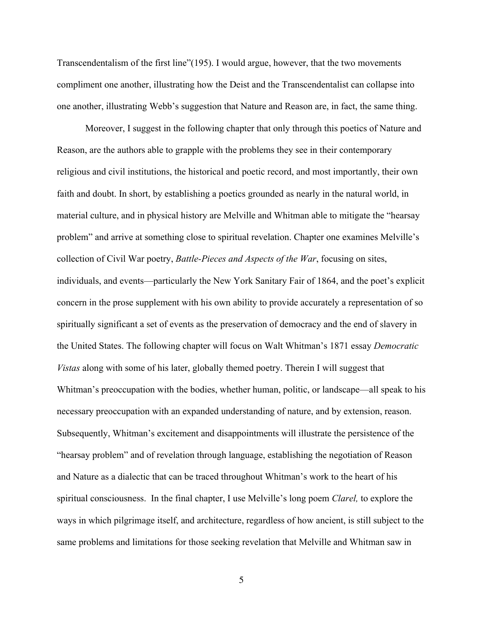Transcendentalism of the first line"(195). I would argue, however, that the two movements compliment one another, illustrating how the Deist and the Transcendentalist can collapse into one another, illustrating Webb's suggestion that Nature and Reason are, in fact, the same thing.

Moreover, I suggest in the following chapter that only through this poetics of Nature and Reason, are the authors able to grapple with the problems they see in their contemporary religious and civil institutions, the historical and poetic record, and most importantly, their own faith and doubt. In short, by establishing a poetics grounded as nearly in the natural world, in material culture, and in physical history are Melville and Whitman able to mitigate the "hearsay problem" and arrive at something close to spiritual revelation. Chapter one examines Melville's collection of Civil War poetry, *Battle-Pieces and Aspects of the War*, focusing on sites, individuals, and events—particularly the New York Sanitary Fair of 1864, and the poet's explicit concern in the prose supplement with his own ability to provide accurately a representation of so spiritually significant a set of events as the preservation of democracy and the end of slavery in the United States. The following chapter will focus on Walt Whitman's 1871 essay *Democratic Vistas* along with some of his later, globally themed poetry. Therein I will suggest that Whitman's preoccupation with the bodies, whether human, politic, or landscape—all speak to his necessary preoccupation with an expanded understanding of nature, and by extension, reason. Subsequently, Whitman's excitement and disappointments will illustrate the persistence of the "hearsay problem" and of revelation through language, establishing the negotiation of Reason and Nature as a dialectic that can be traced throughout Whitman's work to the heart of his spiritual consciousness. In the final chapter, I use Melville's long poem *Clarel,* to explore the ways in which pilgrimage itself, and architecture, regardless of how ancient, is still subject to the same problems and limitations for those seeking revelation that Melville and Whitman saw in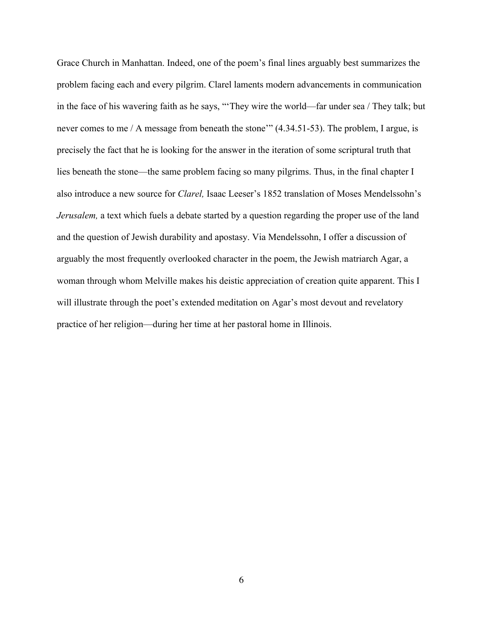Grace Church in Manhattan. Indeed, one of the poem's final lines arguably best summarizes the problem facing each and every pilgrim. Clarel laments modern advancements in communication in the face of his wavering faith as he says, "'They wire the world—far under sea / They talk; but never comes to me / A message from beneath the stone'"  $(4.34.51-53)$ . The problem, I argue, is precisely the fact that he is looking for the answer in the iteration of some scriptural truth that lies beneath the stone—the same problem facing so many pilgrims. Thus, in the final chapter I also introduce a new source for *Clarel,* Isaac Leeser's 1852 translation of Moses Mendelssohn's *Jerusalem*, a text which fuels a debate started by a question regarding the proper use of the land and the question of Jewish durability and apostasy. Via Mendelssohn, I offer a discussion of arguably the most frequently overlooked character in the poem, the Jewish matriarch Agar, a woman through whom Melville makes his deistic appreciation of creation quite apparent. This I will illustrate through the poet's extended meditation on Agar's most devout and revelatory practice of her religion—during her time at her pastoral home in Illinois.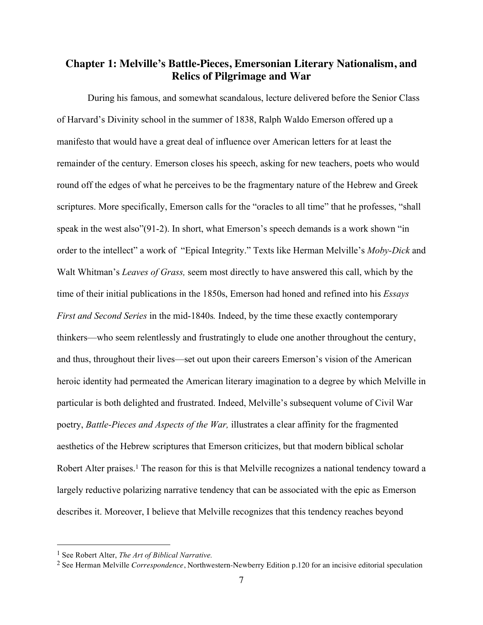### **Chapter 1: Melville's Battle-Pieces, Emersonian Literary Nationalism, and Relics of Pilgrimage and War**

During his famous, and somewhat scandalous, lecture delivered before the Senior Class of Harvard's Divinity school in the summer of 1838, Ralph Waldo Emerson offered up a manifesto that would have a great deal of influence over American letters for at least the remainder of the century. Emerson closes his speech, asking for new teachers, poets who would round off the edges of what he perceives to be the fragmentary nature of the Hebrew and Greek scriptures. More specifically, Emerson calls for the "oracles to all time" that he professes, "shall speak in the west also"(91-2). In short, what Emerson's speech demands is a work shown "in order to the intellect" a work of "Epical Integrity." Texts like Herman Melville's *Moby-Dick* and Walt Whitman's *Leaves of Grass,* seem most directly to have answered this call, which by the time of their initial publications in the 1850s, Emerson had honed and refined into his *Essays First and Second Series* in the mid-1840s*.* Indeed, by the time these exactly contemporary thinkers—who seem relentlessly and frustratingly to elude one another throughout the century, and thus, throughout their lives—set out upon their careers Emerson's vision of the American heroic identity had permeated the American literary imagination to a degree by which Melville in particular is both delighted and frustrated. Indeed, Melville's subsequent volume of Civil War poetry, *Battle-Pieces and Aspects of the War,* illustrates a clear affinity for the fragmented aesthetics of the Hebrew scriptures that Emerson criticizes, but that modern biblical scholar Robert Alter praises.<sup>1</sup> The reason for this is that Melville recognizes a national tendency toward a largely reductive polarizing narrative tendency that can be associated with the epic as Emerson describes it. Moreover, I believe that Melville recognizes that this tendency reaches beyond

<sup>1</sup> See Robert Alter, *The Art of Biblical Narrative.*

<sup>2</sup> See Herman Melville *Correspondence*, Northwestern-Newberry Edition p.120 for an incisive editorial speculation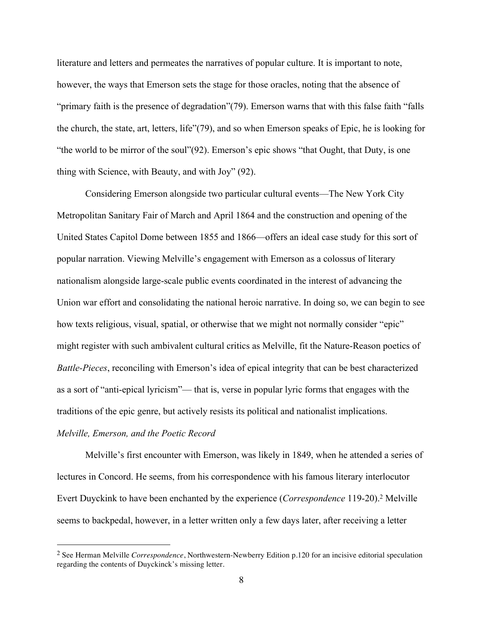literature and letters and permeates the narratives of popular culture. It is important to note, however, the ways that Emerson sets the stage for those oracles, noting that the absence of "primary faith is the presence of degradation"(79). Emerson warns that with this false faith "falls the church, the state, art, letters, life"(79), and so when Emerson speaks of Epic, he is looking for "the world to be mirror of the soul"(92). Emerson's epic shows "that Ought, that Duty, is one thing with Science, with Beauty, and with Joy" (92).

Considering Emerson alongside two particular cultural events—The New York City Metropolitan Sanitary Fair of March and April 1864 and the construction and opening of the United States Capitol Dome between 1855 and 1866—offers an ideal case study for this sort of popular narration. Viewing Melville's engagement with Emerson as a colossus of literary nationalism alongside large-scale public events coordinated in the interest of advancing the Union war effort and consolidating the national heroic narrative. In doing so, we can begin to see how texts religious, visual, spatial, or otherwise that we might not normally consider "epic" might register with such ambivalent cultural critics as Melville, fit the Nature-Reason poetics of *Battle-Pieces*, reconciling with Emerson's idea of epical integrity that can be best characterized as a sort of "anti-epical lyricism"— that is, verse in popular lyric forms that engages with the traditions of the epic genre, but actively resists its political and nationalist implications.

#### *Melville, Emerson, and the Poetic Record*

Melville's first encounter with Emerson, was likely in 1849, when he attended a series of lectures in Concord. He seems, from his correspondence with his famous literary interlocutor Evert Duyckink to have been enchanted by the experience (*Correspondence* 119-20). <sup>2</sup> Melville seems to backpedal, however, in a letter written only a few days later, after receiving a letter

 <sup>2</sup> See Herman Melville *Correspondence*, Northwestern-Newberry Edition p.120 for an incisive editorial speculation regarding the contents of Duyckinck's missing letter.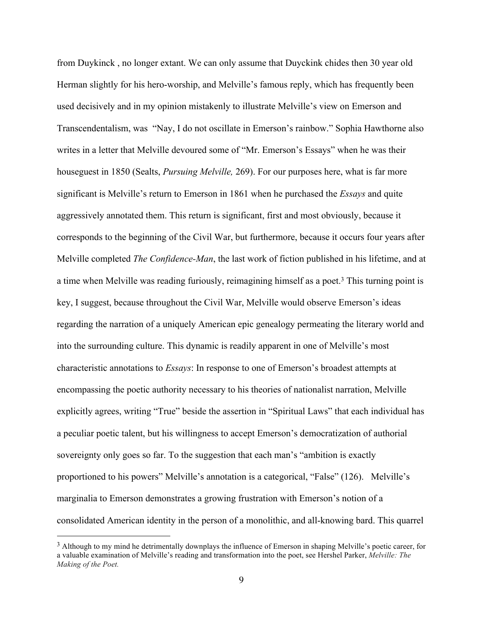from Duykinck , no longer extant. We can only assume that Duyckink chides then 30 year old Herman slightly for his hero-worship, and Melville's famous reply, which has frequently been used decisively and in my opinion mistakenly to illustrate Melville's view on Emerson and Transcendentalism, was "Nay, I do not oscillate in Emerson's rainbow." Sophia Hawthorne also writes in a letter that Melville devoured some of "Mr. Emerson's Essays" when he was their houseguest in 1850 (Sealts, *Pursuing Melville,* 269). For our purposes here, what is far more significant is Melville's return to Emerson in 1861 when he purchased the *Essays* and quite aggressively annotated them. This return is significant, first and most obviously, because it corresponds to the beginning of the Civil War, but furthermore, because it occurs four years after Melville completed *The Confidence-Man*, the last work of fiction published in his lifetime, and at a time when Melville was reading furiously, reimagining himself as a poet. <sup>3</sup> This turning point is key, I suggest, because throughout the Civil War, Melville would observe Emerson's ideas regarding the narration of a uniquely American epic genealogy permeating the literary world and into the surrounding culture. This dynamic is readily apparent in one of Melville's most characteristic annotations to *Essays*: In response to one of Emerson's broadest attempts at encompassing the poetic authority necessary to his theories of nationalist narration, Melville explicitly agrees, writing "True" beside the assertion in "Spiritual Laws" that each individual has a peculiar poetic talent, but his willingness to accept Emerson's democratization of authorial sovereignty only goes so far. To the suggestion that each man's "ambition is exactly proportioned to his powers" Melville's annotation is a categorical, "False" (126). Melville's marginalia to Emerson demonstrates a growing frustration with Emerson's notion of a consolidated American identity in the person of a monolithic, and all-knowing bard. This quarrel

<sup>3</sup> Although to my mind he detrimentally downplays the influence of Emerson in shaping Melville's poetic career, for a valuable examination of Melville's reading and transformation into the poet, see Hershel Parker, *Melville: The Making of the Poet.*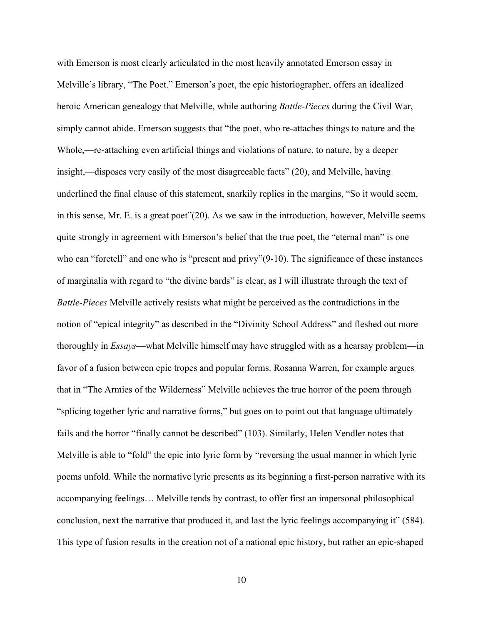with Emerson is most clearly articulated in the most heavily annotated Emerson essay in Melville's library, "The Poet." Emerson's poet, the epic historiographer, offers an idealized heroic American genealogy that Melville, while authoring *Battle-Pieces* during the Civil War, simply cannot abide. Emerson suggests that "the poet, who re-attaches things to nature and the Whole,—re-attaching even artificial things and violations of nature, to nature, by a deeper insight,—disposes very easily of the most disagreeable facts" (20), and Melville, having underlined the final clause of this statement, snarkily replies in the margins, "So it would seem, in this sense, Mr. E. is a great poet"(20). As we saw in the introduction, however, Melville seems quite strongly in agreement with Emerson's belief that the true poet, the "eternal man" is one who can "foretell" and one who is "present and privy"(9-10). The significance of these instances of marginalia with regard to "the divine bards" is clear, as I will illustrate through the text of *Battle-Pieces* Melville actively resists what might be perceived as the contradictions in the notion of "epical integrity" as described in the "Divinity School Address" and fleshed out more thoroughly in *Essays*—what Melville himself may have struggled with as a hearsay problem—in favor of a fusion between epic tropes and popular forms. Rosanna Warren, for example argues that in "The Armies of the Wilderness" Melville achieves the true horror of the poem through "splicing together lyric and narrative forms," but goes on to point out that language ultimately fails and the horror "finally cannot be described" (103). Similarly, Helen Vendler notes that Melville is able to "fold" the epic into lyric form by "reversing the usual manner in which lyric poems unfold. While the normative lyric presents as its beginning a first-person narrative with its accompanying feelings… Melville tends by contrast, to offer first an impersonal philosophical conclusion, next the narrative that produced it, and last the lyric feelings accompanying it" (584). This type of fusion results in the creation not of a national epic history, but rather an epic-shaped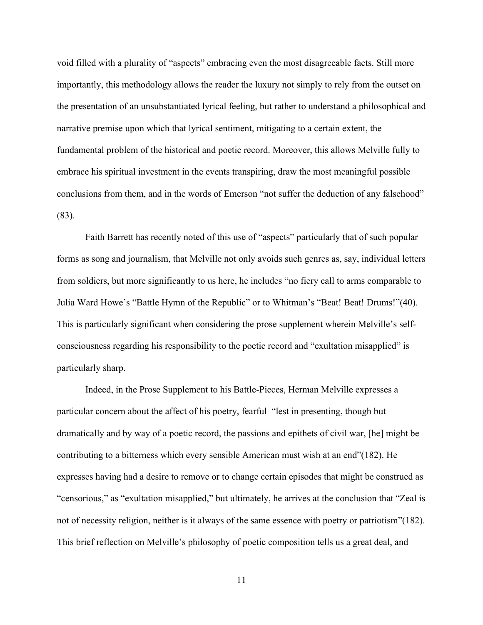void filled with a plurality of "aspects" embracing even the most disagreeable facts. Still more importantly, this methodology allows the reader the luxury not simply to rely from the outset on the presentation of an unsubstantiated lyrical feeling, but rather to understand a philosophical and narrative premise upon which that lyrical sentiment, mitigating to a certain extent, the fundamental problem of the historical and poetic record. Moreover, this allows Melville fully to embrace his spiritual investment in the events transpiring, draw the most meaningful possible conclusions from them, and in the words of Emerson "not suffer the deduction of any falsehood" (83).

Faith Barrett has recently noted of this use of "aspects" particularly that of such popular forms as song and journalism, that Melville not only avoids such genres as, say, individual letters from soldiers, but more significantly to us here, he includes "no fiery call to arms comparable to Julia Ward Howe's "Battle Hymn of the Republic" or to Whitman's "Beat! Beat! Drums!"(40). This is particularly significant when considering the prose supplement wherein Melville's selfconsciousness regarding his responsibility to the poetic record and "exultation misapplied" is particularly sharp.

Indeed, in the Prose Supplement to his Battle-Pieces, Herman Melville expresses a particular concern about the affect of his poetry, fearful "lest in presenting, though but dramatically and by way of a poetic record, the passions and epithets of civil war, [he] might be contributing to a bitterness which every sensible American must wish at an end"(182). He expresses having had a desire to remove or to change certain episodes that might be construed as "censorious," as "exultation misapplied," but ultimately, he arrives at the conclusion that "Zeal is not of necessity religion, neither is it always of the same essence with poetry or patriotism"(182). This brief reflection on Melville's philosophy of poetic composition tells us a great deal, and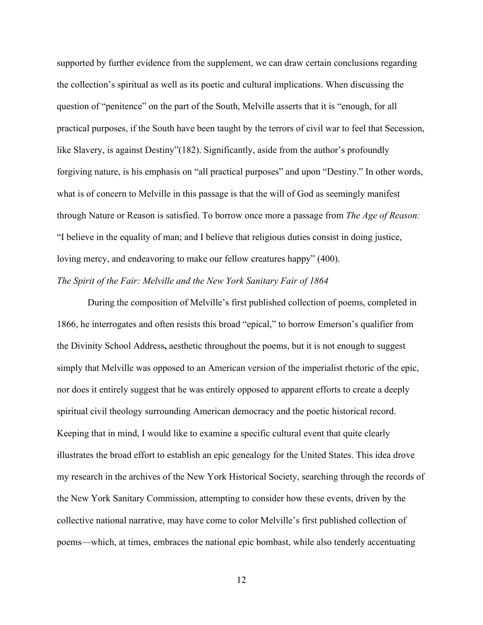supported by further evidence from the supplement, we can draw certain conclusions regarding the collection's spiritual as well as its poetic and cultural implications. When discussing the question of "penitence" on the part of the South, Melville asserts that it is "enough, for all practical purposes, if the South have been taught by the terrors of civil war to feel that Secession, like Slavery, is against Destiny"(182). Significantly, aside from the author's profoundly forgiving nature, is his emphasis on "all practical purposes" and upon "Destiny." In other words, what is of concern to Melville in this passage is that the will of God as seemingly manifest through Nature or Reason is satisfied. To borrow once more a passage from *The Age of Reason:* "I believe in the equality of man; and I believe that religious duties consist in doing justice, loving mercy, and endeavoring to make our fellow creatures happy" (400). *The Spirit of the Fair: Melville and the New York Sanitary Fair of 1864*

During the composition of Melville's first published collection of poems, completed in 1866, he interrogates and often resists this broad "epical," to borrow Emerson's qualifier from the Divinity School Address**,** aesthetic throughout the poems, but it is not enough to suggest simply that Melville was opposed to an American version of the imperialist rhetoric of the epic, nor does it entirely suggest that he was entirely opposed to apparent efforts to create a deeply spiritual civil theology surrounding American democracy and the poetic historical record. Keeping that in mind, I would like to examine a specific cultural event that quite clearly illustrates the broad effort to establish an epic genealogy for the United States. This idea drove my research in the archives of the New York Historical Society, searching through the records of the New York Sanitary Commission, attempting to consider how these events, driven by the collective national narrative, may have come to color Melville's first published collection of poems—which, at times, embraces the national epic bombast, while also tenderly accentuating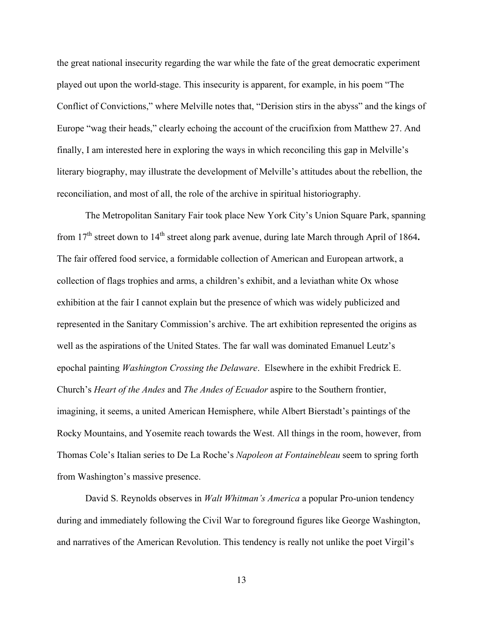the great national insecurity regarding the war while the fate of the great democratic experiment played out upon the world-stage. This insecurity is apparent, for example, in his poem "The Conflict of Convictions," where Melville notes that, "Derision stirs in the abyss" and the kings of Europe "wag their heads," clearly echoing the account of the crucifixion from Matthew 27. And finally, I am interested here in exploring the ways in which reconciling this gap in Melville's literary biography, may illustrate the development of Melville's attitudes about the rebellion, the reconciliation, and most of all, the role of the archive in spiritual historiography.

The Metropolitan Sanitary Fair took place New York City's Union Square Park, spanning from 17th street down to 14th street along park avenue, during late March through April of 1864**.**  The fair offered food service, a formidable collection of American and European artwork, a collection of flags trophies and arms, a children's exhibit, and a leviathan white Ox whose exhibition at the fair I cannot explain but the presence of which was widely publicized and represented in the Sanitary Commission's archive. The art exhibition represented the origins as well as the aspirations of the United States. The far wall was dominated Emanuel Leutz's epochal painting *Washington Crossing the Delaware*. Elsewhere in the exhibit Fredrick E. Church's *Heart of the Andes* and *The Andes of Ecuador* aspire to the Southern frontier, imagining, it seems, a united American Hemisphere, while Albert Bierstadt's paintings of the Rocky Mountains, and Yosemite reach towards the West. All things in the room, however, from Thomas Cole's Italian series to De La Roche's *Napoleon at Fontainebleau* seem to spring forth from Washington's massive presence.

David S. Reynolds observes in *Walt Whitman's America* a popular Pro-union tendency during and immediately following the Civil War to foreground figures like George Washington, and narratives of the American Revolution. This tendency is really not unlike the poet Virgil's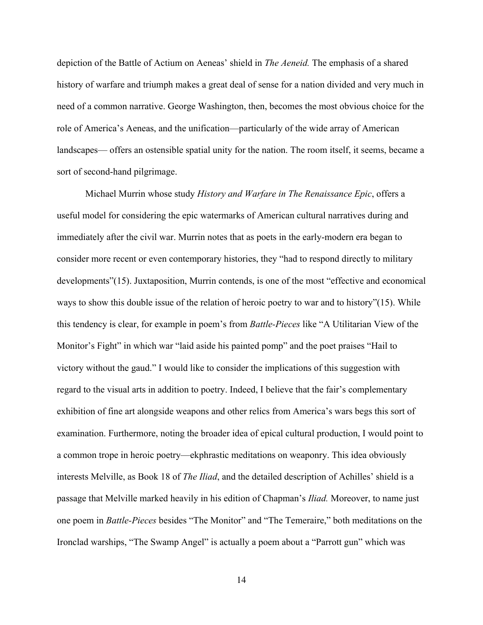depiction of the Battle of Actium on Aeneas' shield in *The Aeneid.* The emphasis of a shared history of warfare and triumph makes a great deal of sense for a nation divided and very much in need of a common narrative. George Washington, then, becomes the most obvious choice for the role of America's Aeneas, and the unification—particularly of the wide array of American landscapes— offers an ostensible spatial unity for the nation. The room itself, it seems, became a sort of second-hand pilgrimage.

Michael Murrin whose study *History and Warfare in The Renaissance Epic*, offers a useful model for considering the epic watermarks of American cultural narratives during and immediately after the civil war. Murrin notes that as poets in the early-modern era began to consider more recent or even contemporary histories, they "had to respond directly to military developments"(15). Juxtaposition, Murrin contends, is one of the most "effective and economical ways to show this double issue of the relation of heroic poetry to war and to history"(15). While this tendency is clear, for example in poem's from *Battle-Pieces* like "A Utilitarian View of the Monitor's Fight" in which war "laid aside his painted pomp" and the poet praises "Hail to victory without the gaud." I would like to consider the implications of this suggestion with regard to the visual arts in addition to poetry. Indeed, I believe that the fair's complementary exhibition of fine art alongside weapons and other relics from America's wars begs this sort of examination. Furthermore, noting the broader idea of epical cultural production, I would point to a common trope in heroic poetry—ekphrastic meditations on weaponry. This idea obviously interests Melville, as Book 18 of *The Iliad*, and the detailed description of Achilles' shield is a passage that Melville marked heavily in his edition of Chapman's *Iliad.* Moreover, to name just one poem in *Battle-Pieces* besides "The Monitor" and "The Temeraire," both meditations on the Ironclad warships, "The Swamp Angel" is actually a poem about a "Parrott gun" which was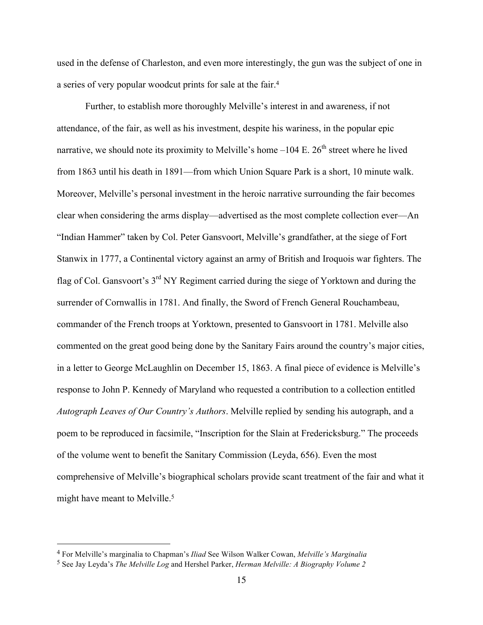used in the defense of Charleston, and even more interestingly, the gun was the subject of one in a series of very popular woodcut prints for sale at the fair. 4

Further, to establish more thoroughly Melville's interest in and awareness, if not attendance, of the fair, as well as his investment, despite his wariness, in the popular epic narrative, we should note its proximity to Melville's home  $-104$  E.  $26<sup>th</sup>$  street where he lived from 1863 until his death in 1891—from which Union Square Park is a short, 10 minute walk. Moreover, Melville's personal investment in the heroic narrative surrounding the fair becomes clear when considering the arms display—advertised as the most complete collection ever—An "Indian Hammer" taken by Col. Peter Gansvoort, Melville's grandfather, at the siege of Fort Stanwix in 1777, a Continental victory against an army of British and Iroquois war fighters. The flag of Col. Gansvoort's 3<sup>rd</sup> NY Regiment carried during the siege of Yorktown and during the surrender of Cornwallis in 1781. And finally, the Sword of French General Rouchambeau, commander of the French troops at Yorktown, presented to Gansvoort in 1781. Melville also commented on the great good being done by the Sanitary Fairs around the country's major cities, in a letter to George McLaughlin on December 15, 1863. A final piece of evidence is Melville's response to John P. Kennedy of Maryland who requested a contribution to a collection entitled *Autograph Leaves of Our Country's Authors*. Melville replied by sending his autograph, and a poem to be reproduced in facsimile, "Inscription for the Slain at Fredericksburg." The proceeds of the volume went to benefit the Sanitary Commission (Leyda, 656). Even the most comprehensive of Melville's biographical scholars provide scant treatment of the fair and what it might have meant to Melville.<sup>5</sup>

<sup>4</sup> For Melville's marginalia to Chapman's *Iliad* See Wilson Walker Cowan, *Melville's Marginalia*

<sup>5</sup> See Jay Leyda's *The Melville Log* and Hershel Parker, *Herman Melville: A Biography Volume 2*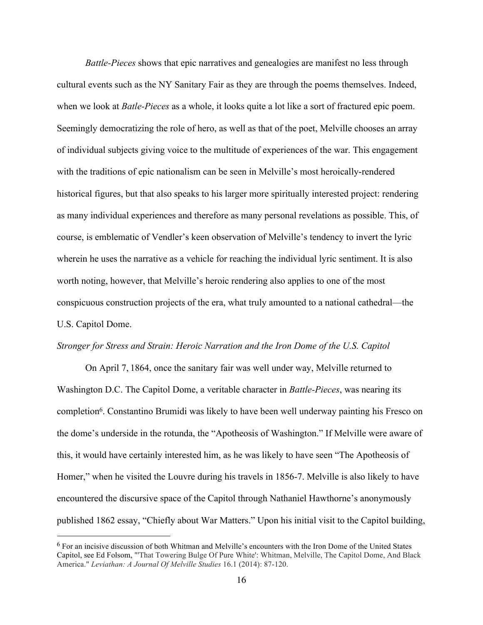*Battle-Pieces* shows that epic narratives and genealogies are manifest no less through cultural events such as the NY Sanitary Fair as they are through the poems themselves. Indeed, when we look at *Batle-Pieces* as a whole, it looks quite a lot like a sort of fractured epic poem. Seemingly democratizing the role of hero, as well as that of the poet, Melville chooses an array of individual subjects giving voice to the multitude of experiences of the war. This engagement with the traditions of epic nationalism can be seen in Melville's most heroically-rendered historical figures, but that also speaks to his larger more spiritually interested project: rendering as many individual experiences and therefore as many personal revelations as possible. This, of course, is emblematic of Vendler's keen observation of Melville's tendency to invert the lyric wherein he uses the narrative as a vehicle for reaching the individual lyric sentiment. It is also worth noting, however, that Melville's heroic rendering also applies to one of the most conspicuous construction projects of the era, what truly amounted to a national cathedral—the U.S. Capitol Dome.

#### *Stronger for Stress and Strain: Heroic Narration and the Iron Dome of the U.S. Capitol*

On April 7, 1864, once the sanitary fair was well under way, Melville returned to Washington D.C. The Capitol Dome, a veritable character in *Battle-Pieces*, was nearing its completion6. Constantino Brumidi was likely to have been well underway painting his Fresco on the dome's underside in the rotunda, the "Apotheosis of Washington." If Melville were aware of this, it would have certainly interested him, as he was likely to have seen "The Apotheosis of Homer," when he visited the Louvre during his travels in 1856-7. Melville is also likely to have encountered the discursive space of the Capitol through Nathaniel Hawthorne's anonymously published 1862 essay, "Chiefly about War Matters." Upon his initial visit to the Capitol building,

<sup>6</sup> For an incisive discussion of both Whitman and Melville's encounters with the Iron Dome of the United States Capitol, see Ed Folsom, "'That Towering Bulge Of Pure White': Whitman, Melville, The Capitol Dome, And Black America." *Leviathan: A Journal Of Melville Studies* 16.1 (2014): 87-120.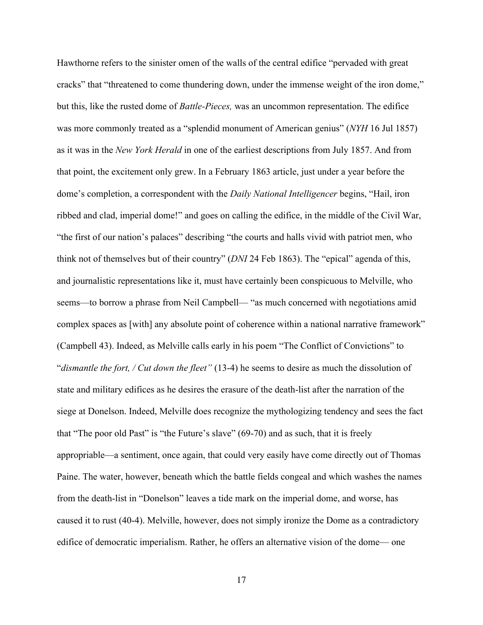Hawthorne refers to the sinister omen of the walls of the central edifice "pervaded with great cracks" that "threatened to come thundering down, under the immense weight of the iron dome," but this, like the rusted dome of *Battle-Pieces,* was an uncommon representation. The edifice was more commonly treated as a "splendid monument of American genius" (*NYH* 16 Jul 1857) as it was in the *New York Herald* in one of the earliest descriptions from July 1857. And from that point, the excitement only grew. In a February 1863 article, just under a year before the dome's completion, a correspondent with the *Daily National Intelligencer* begins, "Hail, iron ribbed and clad, imperial dome!" and goes on calling the edifice, in the middle of the Civil War, "the first of our nation's palaces" describing "the courts and halls vivid with patriot men, who think not of themselves but of their country" (*DNI* 24 Feb 1863). The "epical" agenda of this, and journalistic representations like it, must have certainly been conspicuous to Melville, who seems—to borrow a phrase from Neil Campbell— "as much concerned with negotiations amid complex spaces as [with] any absolute point of coherence within a national narrative framework" (Campbell 43). Indeed, as Melville calls early in his poem "The Conflict of Convictions" to "*dismantle the fort, / Cut down the fleet"* (13-4) he seems to desire as much the dissolution of state and military edifices as he desires the erasure of the death-list after the narration of the siege at Donelson. Indeed, Melville does recognize the mythologizing tendency and sees the fact that "The poor old Past" is "the Future's slave" (69-70) and as such, that it is freely appropriable—a sentiment, once again, that could very easily have come directly out of Thomas Paine. The water, however, beneath which the battle fields congeal and which washes the names from the death-list in "Donelson" leaves a tide mark on the imperial dome, and worse, has caused it to rust (40-4). Melville, however, does not simply ironize the Dome as a contradictory edifice of democratic imperialism. Rather, he offers an alternative vision of the dome— one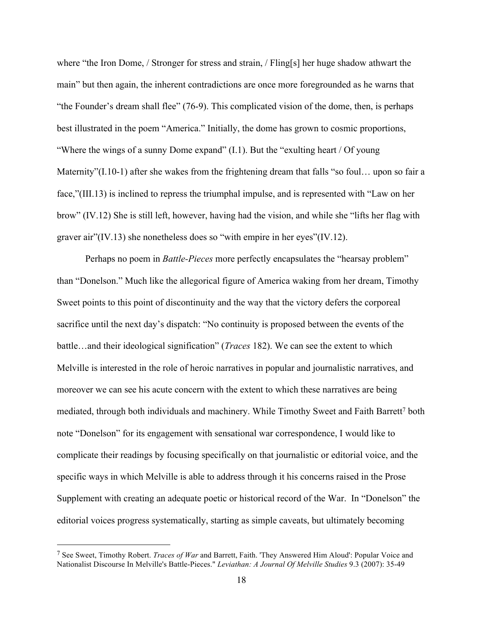where "the Iron Dome, / Stronger for stress and strain, / Fling[s] her huge shadow athwart the main" but then again, the inherent contradictions are once more foregrounded as he warns that "the Founder's dream shall flee" (76-9). This complicated vision of the dome, then, is perhaps best illustrated in the poem "America." Initially, the dome has grown to cosmic proportions, "Where the wings of a sunny Dome expand" (I.1). But the "exulting heart / Of young Maternity"(I.10-1) after she wakes from the frightening dream that falls "so foul... upon so fair a face,"(III.13) is inclined to repress the triumphal impulse, and is represented with "Law on her brow" (IV.12) She is still left, however, having had the vision, and while she "lifts her flag with graver air"(IV.13) she nonetheless does so "with empire in her eyes"(IV.12).

Perhaps no poem in *Battle-Pieces* more perfectly encapsulates the "hearsay problem" than "Donelson." Much like the allegorical figure of America waking from her dream, Timothy Sweet points to this point of discontinuity and the way that the victory defers the corporeal sacrifice until the next day's dispatch: "No continuity is proposed between the events of the battle…and their ideological signification" (*Traces* 182). We can see the extent to which Melville is interested in the role of heroic narratives in popular and journalistic narratives, and moreover we can see his acute concern with the extent to which these narratives are being mediated, through both individuals and machinery. While Timothy Sweet and Faith Barrett<sup>7</sup> both note "Donelson" for its engagement with sensational war correspondence, I would like to complicate their readings by focusing specifically on that journalistic or editorial voice, and the specific ways in which Melville is able to address through it his concerns raised in the Prose Supplement with creating an adequate poetic or historical record of the War. In "Donelson" the editorial voices progress systematically, starting as simple caveats, but ultimately becoming

<sup>7</sup> See Sweet, Timothy Robert. *Traces of War* and Barrett, Faith. 'They Answered Him Aloud': Popular Voice and Nationalist Discourse In Melville's Battle-Pieces." *Leviathan: A Journal Of Melville Studies* 9.3 (2007): 35-49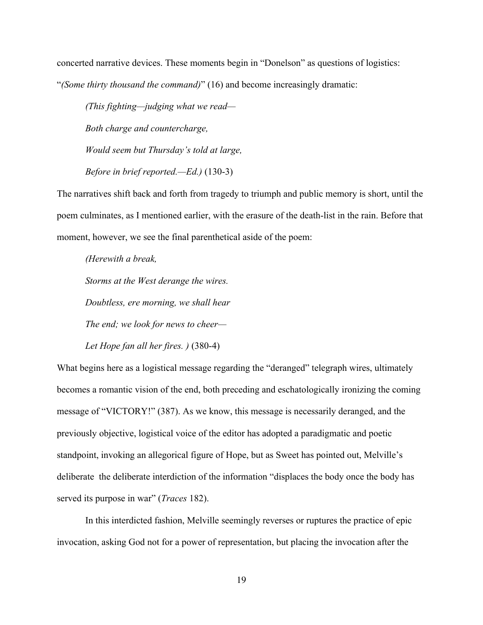concerted narrative devices. These moments begin in "Donelson" as questions of logistics: "*(Some thirty thousand the command)*" (16) and become increasingly dramatic:

*(This fighting—judging what we read— Both charge and countercharge, Would seem but Thursday's told at large, Before in brief reported.—Ed.)* (130-3)

The narratives shift back and forth from tragedy to triumph and public memory is short, until the poem culminates, as I mentioned earlier, with the erasure of the death-list in the rain. Before that moment, however, we see the final parenthetical aside of the poem:

*(Herewith a break, Storms at the West derange the wires. Doubtless, ere morning, we shall hear The end; we look for news to cheer—*

*Let Hope fan all her fires. )* (380-4)

What begins here as a logistical message regarding the "deranged" telegraph wires, ultimately becomes a romantic vision of the end, both preceding and eschatologically ironizing the coming message of "VICTORY!" (387). As we know, this message is necessarily deranged, and the previously objective, logistical voice of the editor has adopted a paradigmatic and poetic standpoint, invoking an allegorical figure of Hope, but as Sweet has pointed out, Melville's deliberate the deliberate interdiction of the information "displaces the body once the body has served its purpose in war" (*Traces* 182).

In this interdicted fashion, Melville seemingly reverses or ruptures the practice of epic invocation, asking God not for a power of representation, but placing the invocation after the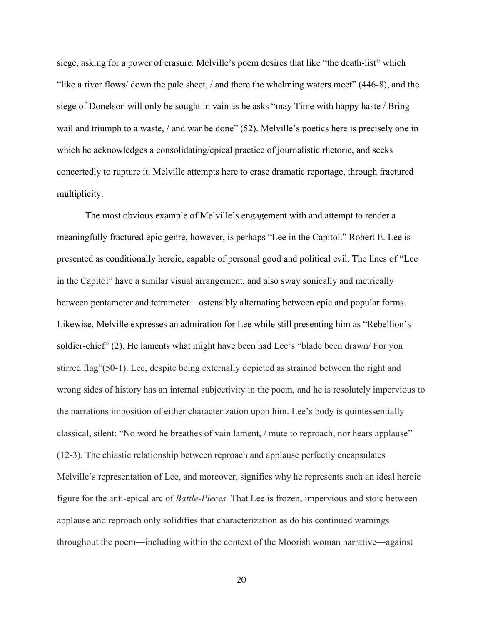siege, asking for a power of erasure. Melville's poem desires that like "the death-list" which "like a river flows/ down the pale sheet, / and there the whelming waters meet" (446-8), and the siege of Donelson will only be sought in vain as he asks "may Time with happy haste / Bring wail and triumph to a waste, / and war be done" (52). Melville's poetics here is precisely one in which he acknowledges a consolidating/epical practice of journalistic rhetoric, and seeks concertedly to rupture it. Melville attempts here to erase dramatic reportage, through fractured multiplicity.

The most obvious example of Melville's engagement with and attempt to render a meaningfully fractured epic genre, however, is perhaps "Lee in the Capitol." Robert E. Lee is presented as conditionally heroic, capable of personal good and political evil. The lines of "Lee in the Capitol" have a similar visual arrangement, and also sway sonically and metrically between pentameter and tetrameter—ostensibly alternating between epic and popular forms. Likewise, Melville expresses an admiration for Lee while still presenting him as "Rebellion's soldier-chief" (2). He laments what might have been had Lee's "blade been drawn/ For yon stirred flag"(50-1). Lee, despite being externally depicted as strained between the right and wrong sides of history has an internal subjectivity in the poem, and he is resolutely impervious to the narrations imposition of either characterization upon him. Lee's body is quintessentially classical, silent: "No word he breathes of vain lament, / mute to reproach, nor hears applause" (12-3). The chiastic relationship between reproach and applause perfectly encapsulates Melville's representation of Lee, and moreover, signifies why he represents such an ideal heroic figure for the anti-epical arc of *Battle-Pieces.* That Lee is frozen, impervious and stoic between applause and reproach only solidifies that characterization as do his continued warnings throughout the poem—including within the context of the Moorish woman narrative—against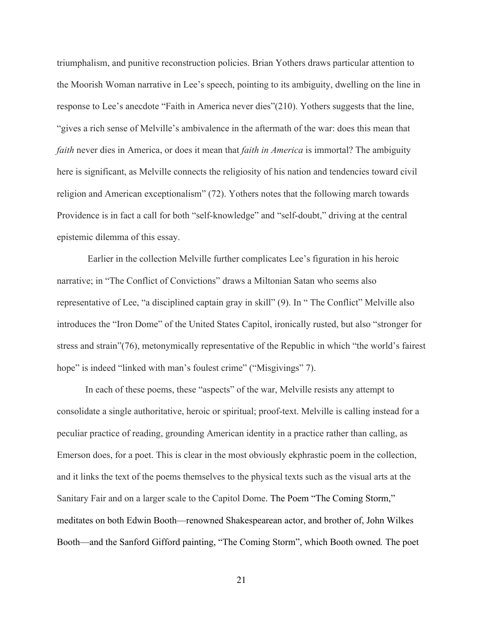triumphalism, and punitive reconstruction policies. Brian Yothers draws particular attention to the Moorish Woman narrative in Lee's speech, pointing to its ambiguity, dwelling on the line in response to Lee's anecdote "Faith in America never dies"(210). Yothers suggests that the line, "gives a rich sense of Melville's ambivalence in the aftermath of the war: does this mean that *faith* never dies in America, or does it mean that *faith in America* is immortal? The ambiguity here is significant, as Melville connects the religiosity of his nation and tendencies toward civil religion and American exceptionalism" (72). Yothers notes that the following march towards Providence is in fact a call for both "self-knowledge" and "self-doubt," driving at the central epistemic dilemma of this essay.

Earlier in the collection Melville further complicates Lee's figuration in his heroic narrative; in "The Conflict of Convictions" draws a Miltonian Satan who seems also representative of Lee, "a disciplined captain gray in skill" (9). In " The Conflict" Melville also introduces the "Iron Dome" of the United States Capitol, ironically rusted, but also "stronger for stress and strain"(76), metonymically representative of the Republic in which "the world's fairest hope" is indeed "linked with man's foulest crime" ("Misgivings" 7).

In each of these poems, these "aspects" of the war, Melville resists any attempt to consolidate a single authoritative, heroic or spiritual; proof-text. Melville is calling instead for a peculiar practice of reading, grounding American identity in a practice rather than calling, as Emerson does, for a poet. This is clear in the most obviously ekphrastic poem in the collection, and it links the text of the poems themselves to the physical texts such as the visual arts at the Sanitary Fair and on a larger scale to the Capitol Dome. The Poem "The Coming Storm," meditates on both Edwin Booth—renowned Shakespearean actor, and brother of, John Wilkes Booth—and the Sanford Gifford painting, "The Coming Storm", which Booth owned*.* The poet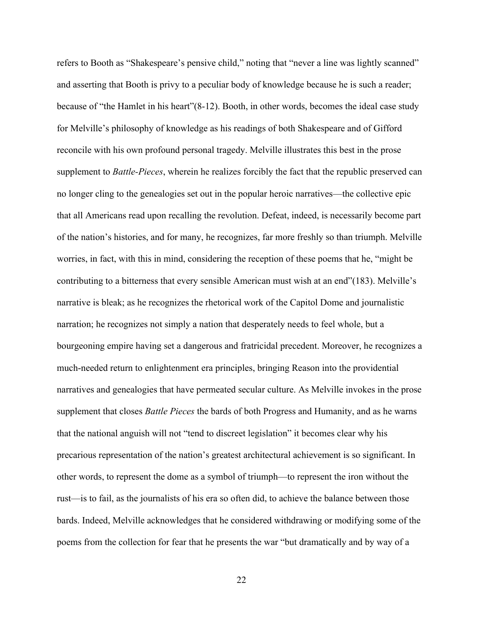refers to Booth as "Shakespeare's pensive child," noting that "never a line was lightly scanned" and asserting that Booth is privy to a peculiar body of knowledge because he is such a reader; because of "the Hamlet in his heart"(8-12). Booth, in other words, becomes the ideal case study for Melville's philosophy of knowledge as his readings of both Shakespeare and of Gifford reconcile with his own profound personal tragedy. Melville illustrates this best in the prose supplement to *Battle-Pieces*, wherein he realizes forcibly the fact that the republic preserved can no longer cling to the genealogies set out in the popular heroic narratives—the collective epic that all Americans read upon recalling the revolution. Defeat, indeed, is necessarily become part of the nation's histories, and for many, he recognizes, far more freshly so than triumph. Melville worries, in fact, with this in mind, considering the reception of these poems that he, "might be contributing to a bitterness that every sensible American must wish at an end"(183). Melville's narrative is bleak; as he recognizes the rhetorical work of the Capitol Dome and journalistic narration; he recognizes not simply a nation that desperately needs to feel whole, but a bourgeoning empire having set a dangerous and fratricidal precedent. Moreover, he recognizes a much-needed return to enlightenment era principles, bringing Reason into the providential narratives and genealogies that have permeated secular culture. As Melville invokes in the prose supplement that closes *Battle Pieces* the bards of both Progress and Humanity, and as he warns that the national anguish will not "tend to discreet legislation" it becomes clear why his precarious representation of the nation's greatest architectural achievement is so significant. In other words, to represent the dome as a symbol of triumph—to represent the iron without the rust—is to fail, as the journalists of his era so often did, to achieve the balance between those bards. Indeed, Melville acknowledges that he considered withdrawing or modifying some of the poems from the collection for fear that he presents the war "but dramatically and by way of a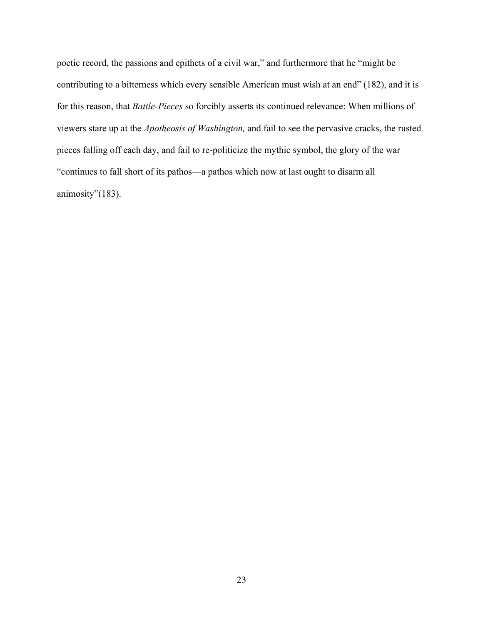poetic record, the passions and epithets of a civil war," and furthermore that he "might be contributing to a bitterness which every sensible American must wish at an end" (182), and it is for this reason, that *Battle-Pieces* so forcibly asserts its continued relevance: When millions of viewers stare up at the *Apotheosis of Washington,* and fail to see the pervasive cracks, the rusted pieces falling off each day, and fail to re-politicize the mythic symbol, the glory of the war "continues to fall short of its pathos—a pathos which now at last ought to disarm all animosity"(183).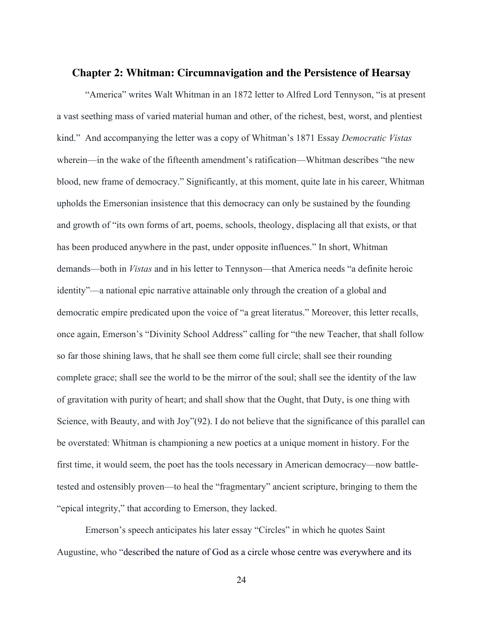#### **Chapter 2: Whitman: Circumnavigation and the Persistence of Hearsay**

"America" writes Walt Whitman in an 1872 letter to Alfred Lord Tennyson, "is at present a vast seething mass of varied material human and other, of the richest, best, worst, and plentiest kind." And accompanying the letter was a copy of Whitman's 1871 Essay *Democratic Vistas* wherein—in the wake of the fifteenth amendment's ratification—Whitman describes "the new blood, new frame of democracy." Significantly, at this moment, quite late in his career, Whitman upholds the Emersonian insistence that this democracy can only be sustained by the founding and growth of "its own forms of art, poems, schools, theology, displacing all that exists, or that has been produced anywhere in the past, under opposite influences." In short, Whitman demands—both in *Vistas* and in his letter to Tennyson—that America needs "a definite heroic identity"—a national epic narrative attainable only through the creation of a global and democratic empire predicated upon the voice of "a great literatus." Moreover, this letter recalls, once again, Emerson's "Divinity School Address" calling for "the new Teacher, that shall follow so far those shining laws, that he shall see them come full circle; shall see their rounding complete grace; shall see the world to be the mirror of the soul; shall see the identity of the law of gravitation with purity of heart; and shall show that the Ought, that Duty, is one thing with Science, with Beauty, and with Joy"(92). I do not believe that the significance of this parallel can be overstated: Whitman is championing a new poetics at a unique moment in history. For the first time, it would seem, the poet has the tools necessary in American democracy—now battletested and ostensibly proven—to heal the "fragmentary" ancient scripture, bringing to them the "epical integrity," that according to Emerson, they lacked.

Emerson's speech anticipates his later essay "Circles" in which he quotes Saint Augustine, who "described the nature of God as a circle whose centre was everywhere and its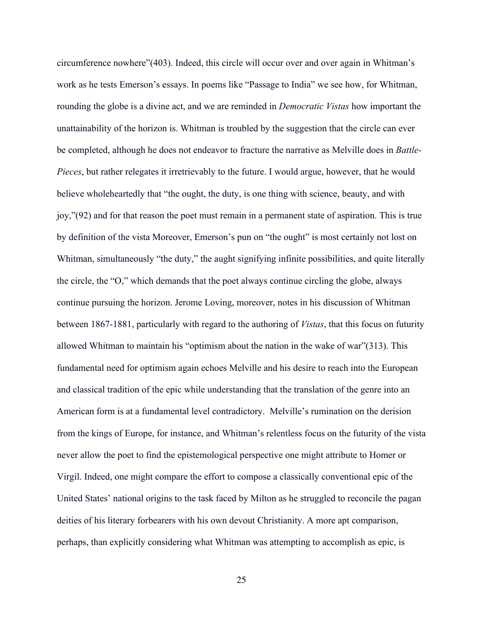circumference nowhere"(403). Indeed, this circle will occur over and over again in Whitman's work as he tests Emerson's essays. In poems like "Passage to India" we see how, for Whitman, rounding the globe is a divine act, and we are reminded in *Democratic Vistas* how important the unattainability of the horizon is. Whitman is troubled by the suggestion that the circle can ever be completed, although he does not endeavor to fracture the narrative as Melville does in *Battle-Pieces*, but rather relegates it irretrievably to the future. I would argue, however, that he would believe wholeheartedly that "the ought, the duty, is one thing with science, beauty, and with joy,"(92) and for that reason the poet must remain in a permanent state of aspiration. This is true by definition of the vista Moreover, Emerson's pun on "the ought" is most certainly not lost on Whitman, simultaneously "the duty," the aught signifying infinite possibilities, and quite literally the circle, the "O," which demands that the poet always continue circling the globe, always continue pursuing the horizon. Jerome Loving, moreover, notes in his discussion of Whitman between 1867-1881, particularly with regard to the authoring of *Vistas*, that this focus on futurity allowed Whitman to maintain his "optimism about the nation in the wake of war"(313). This fundamental need for optimism again echoes Melville and his desire to reach into the European and classical tradition of the epic while understanding that the translation of the genre into an American form is at a fundamental level contradictory. Melville's rumination on the derision from the kings of Europe, for instance, and Whitman's relentless focus on the futurity of the vista never allow the poet to find the epistemological perspective one might attribute to Homer or Virgil. Indeed, one might compare the effort to compose a classically conventional epic of the United States' national origins to the task faced by Milton as he struggled to reconcile the pagan deities of his literary forbearers with his own devout Christianity. A more apt comparison, perhaps, than explicitly considering what Whitman was attempting to accomplish as epic, is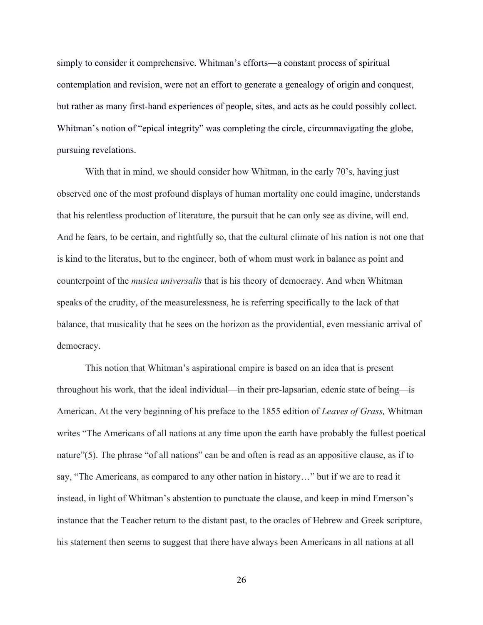simply to consider it comprehensive. Whitman's efforts—a constant process of spiritual contemplation and revision, were not an effort to generate a genealogy of origin and conquest, but rather as many first-hand experiences of people, sites, and acts as he could possibly collect. Whitman's notion of "epical integrity" was completing the circle, circumnavigating the globe, pursuing revelations.

With that in mind, we should consider how Whitman, in the early 70's, having just observed one of the most profound displays of human mortality one could imagine, understands that his relentless production of literature, the pursuit that he can only see as divine, will end. And he fears, to be certain, and rightfully so, that the cultural climate of his nation is not one that is kind to the literatus, but to the engineer, both of whom must work in balance as point and counterpoint of the *musica universalis* that is his theory of democracy. And when Whitman speaks of the crudity, of the measurelessness, he is referring specifically to the lack of that balance, that musicality that he sees on the horizon as the providential, even messianic arrival of democracy.

This notion that Whitman's aspirational empire is based on an idea that is present throughout his work, that the ideal individual—in their pre-lapsarian, edenic state of being—is American. At the very beginning of his preface to the 1855 edition of *Leaves of Grass,* Whitman writes "The Americans of all nations at any time upon the earth have probably the fullest poetical nature"(5). The phrase "of all nations" can be and often is read as an appositive clause, as if to say, "The Americans, as compared to any other nation in history…" but if we are to read it instead, in light of Whitman's abstention to punctuate the clause, and keep in mind Emerson's instance that the Teacher return to the distant past, to the oracles of Hebrew and Greek scripture, his statement then seems to suggest that there have always been Americans in all nations at all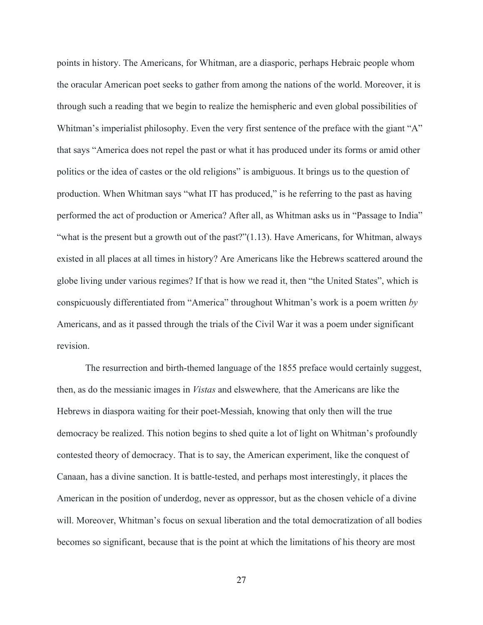points in history. The Americans, for Whitman, are a diasporic, perhaps Hebraic people whom the oracular American poet seeks to gather from among the nations of the world. Moreover, it is through such a reading that we begin to realize the hemispheric and even global possibilities of Whitman's imperialist philosophy. Even the very first sentence of the preface with the giant "A" that says "America does not repel the past or what it has produced under its forms or amid other politics or the idea of castes or the old religions" is ambiguous. It brings us to the question of production. When Whitman says "what IT has produced," is he referring to the past as having performed the act of production or America? After all, as Whitman asks us in "Passage to India" "what is the present but a growth out of the past?"(1.13). Have Americans, for Whitman, always existed in all places at all times in history? Are Americans like the Hebrews scattered around the globe living under various regimes? If that is how we read it, then "the United States", which is conspicuously differentiated from "America" throughout Whitman's work is a poem written *by* Americans, and as it passed through the trials of the Civil War it was a poem under significant revision.

The resurrection and birth-themed language of the 1855 preface would certainly suggest, then, as do the messianic images in *Vistas* and elswewhere*,* that the Americans are like the Hebrews in diaspora waiting for their poet-Messiah, knowing that only then will the true democracy be realized. This notion begins to shed quite a lot of light on Whitman's profoundly contested theory of democracy. That is to say, the American experiment, like the conquest of Canaan, has a divine sanction. It is battle-tested, and perhaps most interestingly, it places the American in the position of underdog, never as oppressor, but as the chosen vehicle of a divine will. Moreover, Whitman's focus on sexual liberation and the total democratization of all bodies becomes so significant, because that is the point at which the limitations of his theory are most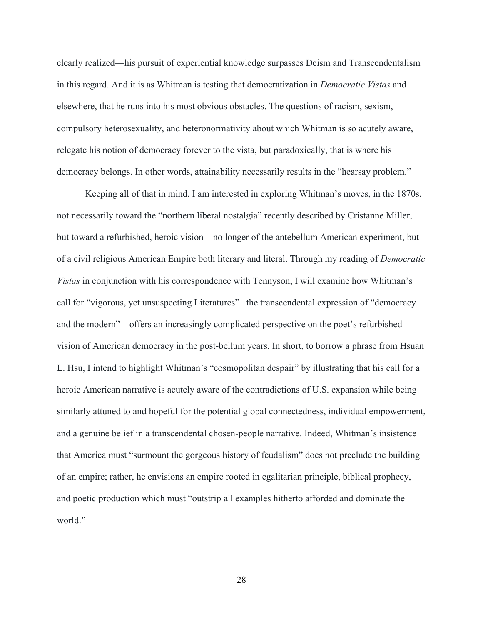clearly realized—his pursuit of experiential knowledge surpasses Deism and Transcendentalism in this regard. And it is as Whitman is testing that democratization in *Democratic Vistas* and elsewhere, that he runs into his most obvious obstacles. The questions of racism, sexism, compulsory heterosexuality, and heteronormativity about which Whitman is so acutely aware, relegate his notion of democracy forever to the vista, but paradoxically, that is where his democracy belongs. In other words, attainability necessarily results in the "hearsay problem."

Keeping all of that in mind, I am interested in exploring Whitman's moves, in the 1870s, not necessarily toward the "northern liberal nostalgia" recently described by Cristanne Miller, but toward a refurbished, heroic vision—no longer of the antebellum American experiment, but of a civil religious American Empire both literary and literal. Through my reading of *Democratic Vistas* in conjunction with his correspondence with Tennyson, I will examine how Whitman's call for "vigorous, yet unsuspecting Literatures" –the transcendental expression of "democracy and the modern"—offers an increasingly complicated perspective on the poet's refurbished vision of American democracy in the post-bellum years. In short, to borrow a phrase from Hsuan L. Hsu, I intend to highlight Whitman's "cosmopolitan despair" by illustrating that his call for a heroic American narrative is acutely aware of the contradictions of U.S. expansion while being similarly attuned to and hopeful for the potential global connectedness, individual empowerment, and a genuine belief in a transcendental chosen-people narrative. Indeed, Whitman's insistence that America must "surmount the gorgeous history of feudalism" does not preclude the building of an empire; rather, he envisions an empire rooted in egalitarian principle, biblical prophecy, and poetic production which must "outstrip all examples hitherto afforded and dominate the world."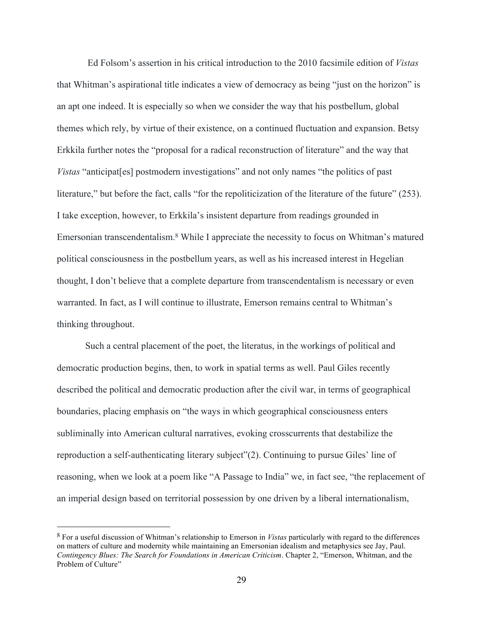Ed Folsom's assertion in his critical introduction to the 2010 facsimile edition of *Vistas*  that Whitman's aspirational title indicates a view of democracy as being "just on the horizon" is an apt one indeed. It is especially so when we consider the way that his postbellum, global themes which rely, by virtue of their existence, on a continued fluctuation and expansion. Betsy Erkkila further notes the "proposal for a radical reconstruction of literature" and the way that *Vistas* "anticipat [es] postmodern investigations" and not only names "the politics of past literature," but before the fact, calls "for the repoliticization of the literature of the future" (253). I take exception, however, to Erkkila's insistent departure from readings grounded in Emersonian transcendentalism. <sup>8</sup> While I appreciate the necessity to focus on Whitman's matured political consciousness in the postbellum years, as well as his increased interest in Hegelian thought, I don't believe that a complete departure from transcendentalism is necessary or even warranted. In fact, as I will continue to illustrate, Emerson remains central to Whitman's thinking throughout.

Such a central placement of the poet, the literatus, in the workings of political and democratic production begins, then, to work in spatial terms as well. Paul Giles recently described the political and democratic production after the civil war, in terms of geographical boundaries, placing emphasis on "the ways in which geographical consciousness enters subliminally into American cultural narratives, evoking crosscurrents that destabilize the reproduction a self-authenticating literary subject"(2). Continuing to pursue Giles' line of reasoning, when we look at a poem like "A Passage to India" we, in fact see, "the replacement of an imperial design based on territorial possession by one driven by a liberal internationalism,

<sup>8</sup> For a useful discussion of Whitman's relationship to Emerson in *Vistas* particularly with regard to the differences on matters of culture and modernity while maintaining an Emersonian idealism and metaphysics see Jay, Paul. *Contingency Blues: The Search for Foundations in American Criticism*. Chapter 2, "Emerson, Whitman, and the Problem of Culture"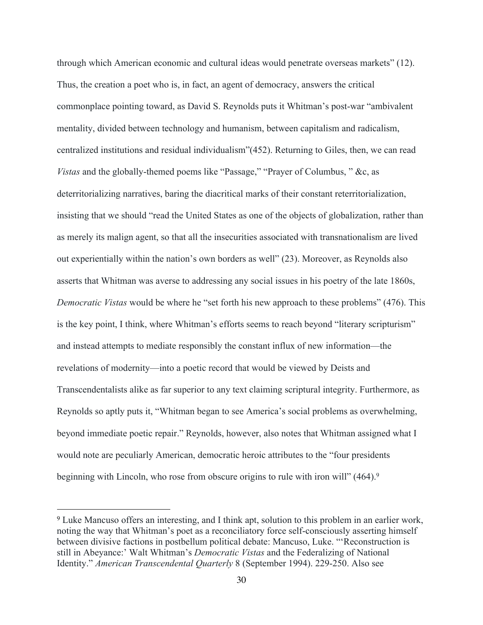through which American economic and cultural ideas would penetrate overseas markets" (12). Thus, the creation a poet who is, in fact, an agent of democracy, answers the critical commonplace pointing toward, as David S. Reynolds puts it Whitman's post-war "ambivalent mentality, divided between technology and humanism, between capitalism and radicalism, centralized institutions and residual individualism"(452). Returning to Giles, then, we can read *Vistas* and the globally-themed poems like "Passage," "Prayer of Columbus, " &c, as deterritorializing narratives, baring the diacritical marks of their constant reterritorialization, insisting that we should "read the United States as one of the objects of globalization, rather than as merely its malign agent, so that all the insecurities associated with transnationalism are lived out experientially within the nation's own borders as well" (23). Moreover, as Reynolds also asserts that Whitman was averse to addressing any social issues in his poetry of the late 1860s, *Democratic Vistas* would be where he "set forth his new approach to these problems" (476). This is the key point, I think, where Whitman's efforts seems to reach beyond "literary scripturism" and instead attempts to mediate responsibly the constant influx of new information—the revelations of modernity—into a poetic record that would be viewed by Deists and Transcendentalists alike as far superior to any text claiming scriptural integrity. Furthermore, as Reynolds so aptly puts it, "Whitman began to see America's social problems as overwhelming, beyond immediate poetic repair." Reynolds, however, also notes that Whitman assigned what I would note are peculiarly American, democratic heroic attributes to the "four presidents beginning with Lincoln, who rose from obscure origins to rule with iron will" (464). 9

<sup>9</sup> Luke Mancuso offers an interesting, and I think apt, solution to this problem in an earlier work, noting the way that Whitman's poet as a reconciliatory force self-consciously asserting himself between divisive factions in postbellum political debate: Mancuso, Luke. "'Reconstruction is still in Abeyance:' Walt Whitman's *Democratic Vistas* and the Federalizing of National Identity." *American Transcendental Quarterly* 8 (September 1994). 229-250. Also see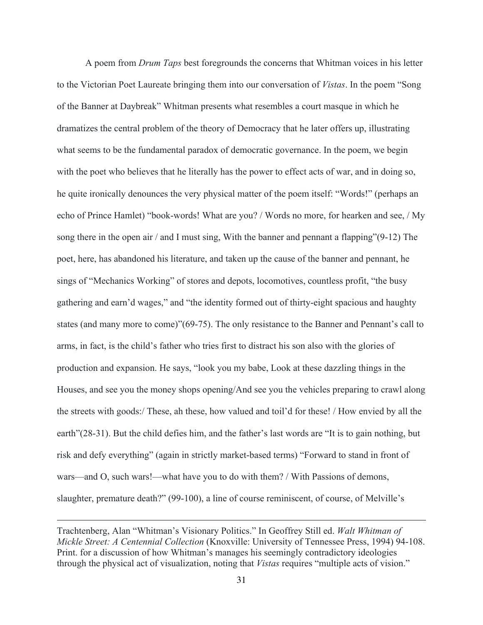A poem from *Drum Taps* best foregrounds the concerns that Whitman voices in his letter to the Victorian Poet Laureate bringing them into our conversation of *Vistas*. In the poem "Song of the Banner at Daybreak" Whitman presents what resembles a court masque in which he dramatizes the central problem of the theory of Democracy that he later offers up, illustrating what seems to be the fundamental paradox of democratic governance. In the poem, we begin with the poet who believes that he literally has the power to effect acts of war, and in doing so, he quite ironically denounces the very physical matter of the poem itself: "Words!" (perhaps an echo of Prince Hamlet) "book-words! What are you? / Words no more, for hearken and see, / My song there in the open air / and I must sing, With the banner and pennant a flapping"(9-12) The poet, here, has abandoned his literature, and taken up the cause of the banner and pennant, he sings of "Mechanics Working" of stores and depots, locomotives, countless profit, "the busy gathering and earn'd wages," and "the identity formed out of thirty-eight spacious and haughty states (and many more to come)"(69-75). The only resistance to the Banner and Pennant's call to arms, in fact, is the child's father who tries first to distract his son also with the glories of production and expansion. He says, "look you my babe, Look at these dazzling things in the Houses, and see you the money shops opening/And see you the vehicles preparing to crawl along the streets with goods:/ These, ah these, how valued and toil'd for these! / How envied by all the earth"(28-31). But the child defies him, and the father's last words are "It is to gain nothing, but risk and defy everything" (again in strictly market-based terms) "Forward to stand in front of wars—and O, such wars!—what have you to do with them? / With Passions of demons, slaughter, premature death?" (99-100), a line of course reminiscent, of course, of Melville's

Trachtenberg, Alan "Whitman's Visionary Politics." In Geoffrey Still ed. *Walt Whitman of Mickle Street: A Centennial Collection* (Knoxville: University of Tennessee Press, 1994) 94-108. Print. for a discussion of how Whitman's manages his seemingly contradictory ideologies through the physical act of visualization, noting that *Vistas* requires "multiple acts of vision."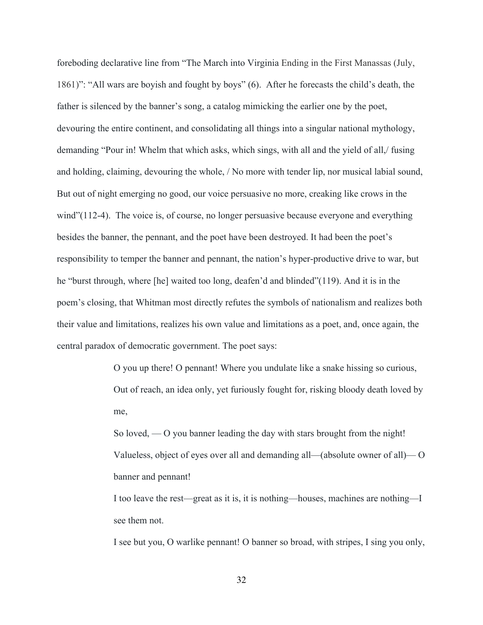foreboding declarative line from "The March into Virginia Ending in the First Manassas (July, 1861)": "All wars are boyish and fought by boys" (6). After he forecasts the child's death, the father is silenced by the banner's song, a catalog mimicking the earlier one by the poet, devouring the entire continent, and consolidating all things into a singular national mythology, demanding "Pour in! Whelm that which asks, which sings, with all and the yield of all,/ fusing and holding, claiming, devouring the whole, / No more with tender lip, nor musical labial sound, But out of night emerging no good, our voice persuasive no more, creaking like crows in the wind"(112-4). The voice is, of course, no longer persuasive because everyone and everything besides the banner, the pennant, and the poet have been destroyed. It had been the poet's responsibility to temper the banner and pennant, the nation's hyper-productive drive to war, but he "burst through, where [he] waited too long, deafen'd and blinded"(119). And it is in the poem's closing, that Whitman most directly refutes the symbols of nationalism and realizes both their value and limitations, realizes his own value and limitations as a poet, and, once again, the central paradox of democratic government. The poet says:

> O you up there! O pennant! Where you undulate like a snake hissing so curious, Out of reach, an idea only, yet furiously fought for, risking bloody death loved by me,

> So loved, — O you banner leading the day with stars brought from the night! Valueless, object of eyes over all and demanding all—(absolute owner of all)— O banner and pennant!

> I too leave the rest—great as it is, it is nothing—houses, machines are nothing—I see them not.

> I see but you, O warlike pennant! O banner so broad, with stripes, I sing you only,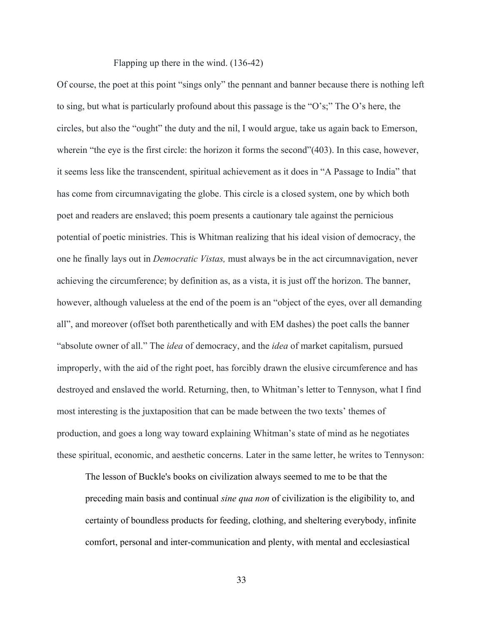Flapping up there in the wind. (136-42)

Of course, the poet at this point "sings only" the pennant and banner because there is nothing left to sing, but what is particularly profound about this passage is the "O's;" The O's here, the circles, but also the "ought" the duty and the nil, I would argue, take us again back to Emerson, wherein "the eye is the first circle: the horizon it forms the second"(403). In this case, however, it seems less like the transcendent, spiritual achievement as it does in "A Passage to India" that has come from circumnavigating the globe. This circle is a closed system, one by which both poet and readers are enslaved; this poem presents a cautionary tale against the pernicious potential of poetic ministries. This is Whitman realizing that his ideal vision of democracy, the one he finally lays out in *Democratic Vistas,* must always be in the act circumnavigation, never achieving the circumference; by definition as, as a vista, it is just off the horizon. The banner, however, although valueless at the end of the poem is an "object of the eyes, over all demanding all", and moreover (offset both parenthetically and with EM dashes) the poet calls the banner "absolute owner of all." The *idea* of democracy, and the *idea* of market capitalism, pursued improperly, with the aid of the right poet, has forcibly drawn the elusive circumference and has destroyed and enslaved the world. Returning, then, to Whitman's letter to Tennyson, what I find most interesting is the juxtaposition that can be made between the two texts' themes of production, and goes a long way toward explaining Whitman's state of mind as he negotiates these spiritual, economic, and aesthetic concerns. Later in the same letter, he writes to Tennyson:

The lesson of Buckle's books on civilization always seemed to me to be that the preceding main basis and continual *sine qua non* of civilization is the eligibility to, and certainty of boundless products for feeding, clothing, and sheltering everybody, infinite comfort, personal and inter-communication and plenty, with mental and ecclesiastical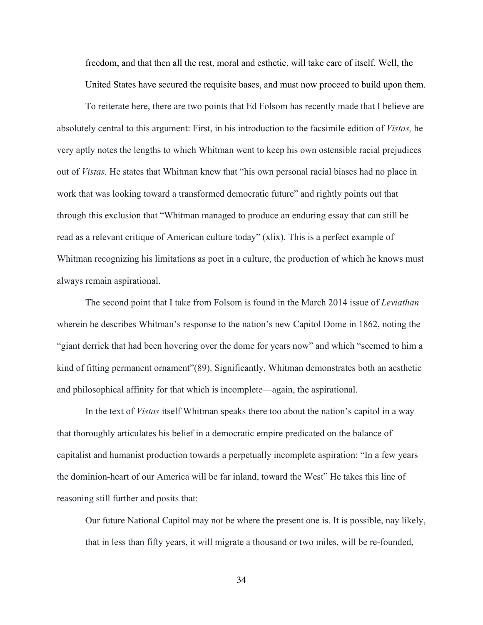freedom, and that then all the rest, moral and esthetic, will take care of itself. Well, the United States have secured the requisite bases, and must now proceed to build upon them.

To reiterate here, there are two points that Ed Folsom has recently made that I believe are absolutely central to this argument: First, in his introduction to the facsimile edition of *Vistas,* he very aptly notes the lengths to which Whitman went to keep his own ostensible racial prejudices out of *Vistas.* He states that Whitman knew that "his own personal racial biases had no place in work that was looking toward a transformed democratic future" and rightly points out that through this exclusion that "Whitman managed to produce an enduring essay that can still be read as a relevant critique of American culture today" (xlix). This is a perfect example of Whitman recognizing his limitations as poet in a culture, the production of which he knows must always remain aspirational.

The second point that I take from Folsom is found in the March 2014 issue of *Leviathan*  wherein he describes Whitman's response to the nation's new Capitol Dome in 1862, noting the "giant derrick that had been hovering over the dome for years now" and which "seemed to him a kind of fitting permanent ornament"(89). Significantly, Whitman demonstrates both an aesthetic and philosophical affinity for that which is incomplete—again, the aspirational.

In the text of *Vistas* itself Whitman speaks there too about the nation's capitol in a way that thoroughly articulates his belief in a democratic empire predicated on the balance of capitalist and humanist production towards a perpetually incomplete aspiration: "In a few years the dominion-heart of our America will be far inland, toward the West" He takes this line of reasoning still further and posits that:

Our future National Capitol may not be where the present one is. It is possible, nay likely, that in less than fifty years, it will migrate a thousand or two miles, will be re-founded,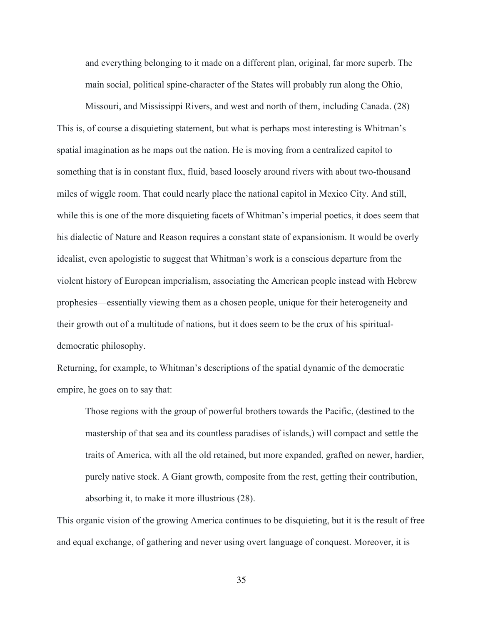and everything belonging to it made on a different plan, original, far more superb. The main social, political spine-character of the States will probably run along the Ohio,

Missouri, and Mississippi Rivers, and west and north of them, including Canada. (28) This is, of course a disquieting statement, but what is perhaps most interesting is Whitman's spatial imagination as he maps out the nation. He is moving from a centralized capitol to something that is in constant flux, fluid, based loosely around rivers with about two-thousand miles of wiggle room. That could nearly place the national capitol in Mexico City. And still, while this is one of the more disquieting facets of Whitman's imperial poetics, it does seem that his dialectic of Nature and Reason requires a constant state of expansionism. It would be overly idealist, even apologistic to suggest that Whitman's work is a conscious departure from the violent history of European imperialism, associating the American people instead with Hebrew prophesies—essentially viewing them as a chosen people, unique for their heterogeneity and their growth out of a multitude of nations, but it does seem to be the crux of his spiritualdemocratic philosophy.

Returning, for example, to Whitman's descriptions of the spatial dynamic of the democratic empire, he goes on to say that:

Those regions with the group of powerful brothers towards the Pacific, (destined to the mastership of that sea and its countless paradises of islands,) will compact and settle the traits of America, with all the old retained, but more expanded, grafted on newer, hardier, purely native stock. A Giant growth, composite from the rest, getting their contribution, absorbing it, to make it more illustrious (28).

This organic vision of the growing America continues to be disquieting, but it is the result of free and equal exchange, of gathering and never using overt language of conquest. Moreover, it is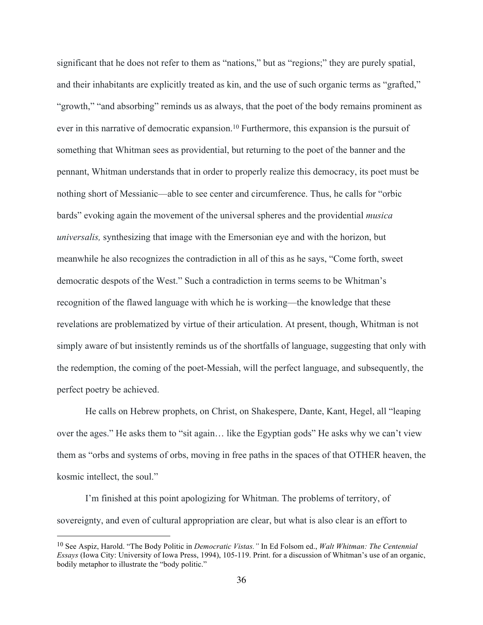significant that he does not refer to them as "nations," but as "regions;" they are purely spatial, and their inhabitants are explicitly treated as kin, and the use of such organic terms as "grafted," "growth," "and absorbing" reminds us as always, that the poet of the body remains prominent as ever in this narrative of democratic expansion. <sup>10</sup> Furthermore, this expansion is the pursuit of something that Whitman sees as providential, but returning to the poet of the banner and the pennant, Whitman understands that in order to properly realize this democracy, its poet must be nothing short of Messianic—able to see center and circumference. Thus, he calls for "orbic bards" evoking again the movement of the universal spheres and the providential *musica universalis,* synthesizing that image with the Emersonian eye and with the horizon, but meanwhile he also recognizes the contradiction in all of this as he says, "Come forth, sweet democratic despots of the West." Such a contradiction in terms seems to be Whitman's recognition of the flawed language with which he is working—the knowledge that these revelations are problematized by virtue of their articulation. At present, though, Whitman is not simply aware of but insistently reminds us of the shortfalls of language, suggesting that only with the redemption, the coming of the poet-Messiah, will the perfect language, and subsequently, the perfect poetry be achieved.

He calls on Hebrew prophets, on Christ, on Shakespere, Dante, Kant, Hegel, all "leaping over the ages." He asks them to "sit again… like the Egyptian gods" He asks why we can't view them as "orbs and systems of orbs, moving in free paths in the spaces of that OTHER heaven, the kosmic intellect, the soul."

I'm finished at this point apologizing for Whitman. The problems of territory, of sovereignty, and even of cultural appropriation are clear, but what is also clear is an effort to

<sup>10</sup> See Aspiz, Harold. "The Body Politic in *Democratic Vistas."* In Ed Folsom ed., *Walt Whitman: The Centennial Essays* (Iowa City: University of Iowa Press, 1994), 105-119. Print. for a discussion of Whitman's use of an organic, bodily metaphor to illustrate the "body politic."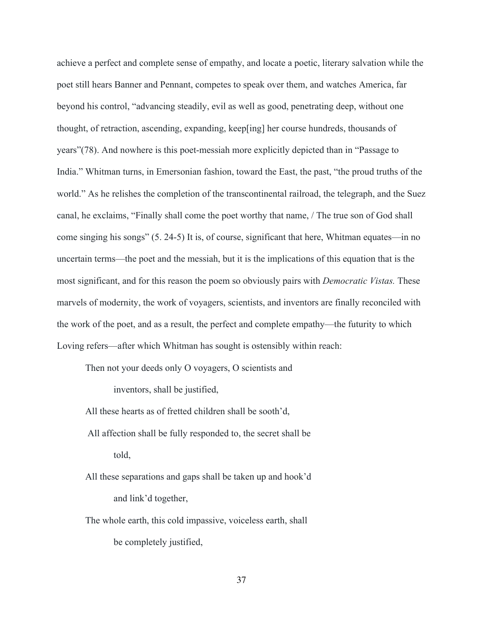achieve a perfect and complete sense of empathy, and locate a poetic, literary salvation while the poet still hears Banner and Pennant, competes to speak over them, and watches America, far beyond his control, "advancing steadily, evil as well as good, penetrating deep, without one thought, of retraction, ascending, expanding, keep[ing] her course hundreds, thousands of years"(78). And nowhere is this poet-messiah more explicitly depicted than in "Passage to India." Whitman turns, in Emersonian fashion, toward the East, the past, "the proud truths of the world." As he relishes the completion of the transcontinental railroad, the telegraph, and the Suez canal, he exclaims, "Finally shall come the poet worthy that name, / The true son of God shall come singing his songs" (5. 24-5) It is, of course, significant that here, Whitman equates—in no uncertain terms—the poet and the messiah, but it is the implications of this equation that is the most significant, and for this reason the poem so obviously pairs with *Democratic Vistas.* These marvels of modernity, the work of voyagers, scientists, and inventors are finally reconciled with the work of the poet, and as a result, the perfect and complete empathy—the futurity to which Loving refers—after which Whitman has sought is ostensibly within reach:

Then not your deeds only O voyagers, O scientists and

inventors, shall be justified,

All these hearts as of fretted children shall be sooth'd,

- All affection shall be fully responded to, the secret shall be told,
- All these separations and gaps shall be taken up and hook'd and link'd together,
- The whole earth, this cold impassive, voiceless earth, shall be completely justified,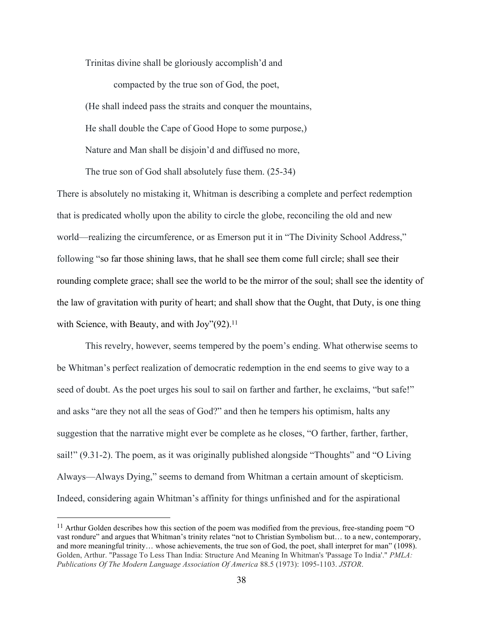Trinitas divine shall be gloriously accomplish'd and

compacted by the true son of God, the poet, (He shall indeed pass the straits and conquer the mountains, He shall double the Cape of Good Hope to some purpose,) Nature and Man shall be disjoin'd and diffused no more,

The true son of God shall absolutely fuse them. (25-34)

There is absolutely no mistaking it, Whitman is describing a complete and perfect redemption that is predicated wholly upon the ability to circle the globe, reconciling the old and new world—realizing the circumference, or as Emerson put it in "The Divinity School Address," following "so far those shining laws, that he shall see them come full circle; shall see their rounding complete grace; shall see the world to be the mirror of the soul; shall see the identity of the law of gravitation with purity of heart; and shall show that the Ought, that Duty, is one thing with Science, with Beauty, and with Joy"(92).<sup>11</sup>

This revelry, however, seems tempered by the poem's ending. What otherwise seems to be Whitman's perfect realization of democratic redemption in the end seems to give way to a seed of doubt. As the poet urges his soul to sail on farther and farther, he exclaims, "but safe!" and asks "are they not all the seas of God?" and then he tempers his optimism, halts any suggestion that the narrative might ever be complete as he closes, "O farther, farther, farther, sail!" (9.31-2). The poem, as it was originally published alongside "Thoughts" and "O Living Always—Always Dying," seems to demand from Whitman a certain amount of skepticism. Indeed, considering again Whitman's affinity for things unfinished and for the aspirational

 $11$  Arthur Golden describes how this section of the poem was modified from the previous, free-standing poem "O vast rondure" and argues that Whitman's trinity relates "not to Christian Symbolism but… to a new, contemporary, and more meaningful trinity… whose achievements, the true son of God, the poet, shall interpret for man" (1098). Golden, Arthur. "Passage To Less Than India: Structure And Meaning In Whitman's 'Passage To India'." *PMLA: Publications Of The Modern Language Association Of America* 88.5 (1973): 1095-1103. *JSTOR*.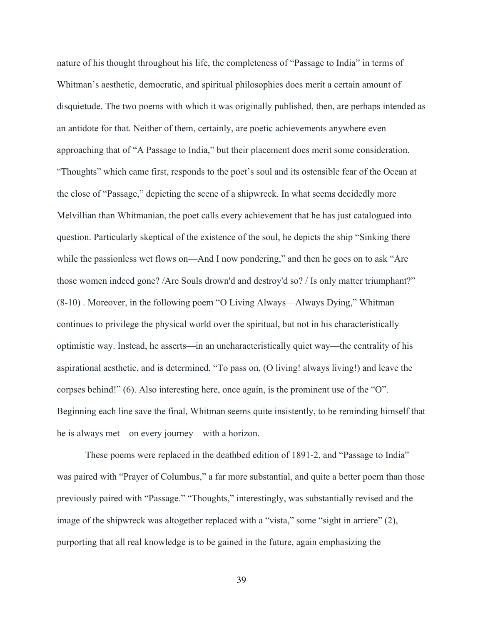nature of his thought throughout his life, the completeness of "Passage to India" in terms of Whitman's aesthetic, democratic, and spiritual philosophies does merit a certain amount of disquietude. The two poems with which it was originally published, then, are perhaps intended as an antidote for that. Neither of them, certainly, are poetic achievements anywhere even approaching that of "A Passage to India," but their placement does merit some consideration. "Thoughts" which came first, responds to the poet's soul and its ostensible fear of the Ocean at the close of "Passage," depicting the scene of a shipwreck. In what seems decidedly more Melvillian than Whitmanian, the poet calls every achievement that he has just catalogued into question. Particularly skeptical of the existence of the soul, he depicts the ship "Sinking there while the passionless wet flows on—And I now pondering," and then he goes on to ask "Are those women indeed gone? /Are Souls drown'd and destroy'd so? / Is only matter triumphant?" (8-10) . Moreover, in the following poem "O Living Always—Always Dying," Whitman continues to privilege the physical world over the spiritual, but not in his characteristically optimistic way. Instead, he asserts—in an uncharacteristically quiet way—the centrality of his aspirational aesthetic, and is determined, "To pass on, (O living! always living!) and leave the corpses behind!" (6). Also interesting here, once again, is the prominent use of the "O". Beginning each line save the final, Whitman seems quite insistently, to be reminding himself that he is always met—on every journey—with a horizon.

These poems were replaced in the deathbed edition of 1891-2, and "Passage to India" was paired with "Prayer of Columbus," a far more substantial, and quite a better poem than those previously paired with "Passage." "Thoughts," interestingly, was substantially revised and the image of the shipwreck was altogether replaced with a "vista," some "sight in arriere" (2), purporting that all real knowledge is to be gained in the future, again emphasizing the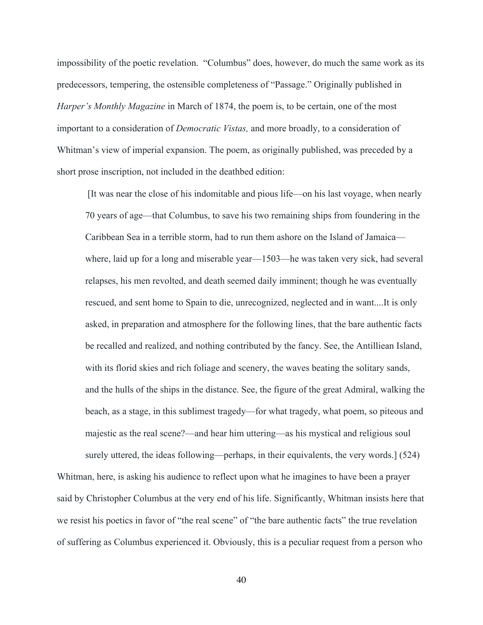impossibility of the poetic revelation. "Columbus" does, however, do much the same work as its predecessors, tempering, the ostensible completeness of "Passage." Originally published in *Harper's Monthly Magazine* in March of 1874, the poem is, to be certain, one of the most important to a consideration of *Democratic Vistas,* and more broadly, to a consideration of Whitman's view of imperial expansion. The poem, as originally published, was preceded by a short prose inscription, not included in the deathbed edition:

[It was near the close of his indomitable and pious life—on his last voyage, when nearly 70 years of age—that Columbus, to save his two remaining ships from foundering in the Caribbean Sea in a terrible storm, had to run them ashore on the Island of Jamaica where, laid up for a long and miserable year—1503—he was taken very sick, had several relapses, his men revolted, and death seemed daily imminent; though he was eventually rescued, and sent home to Spain to die, unrecognized, neglected and in want....It is only asked, in preparation and atmosphere for the following lines, that the bare authentic facts be recalled and realized, and nothing contributed by the fancy. See, the Antilliean Island, with its florid skies and rich foliage and scenery, the waves beating the solitary sands, and the hulls of the ships in the distance. See, the figure of the great Admiral, walking the beach, as a stage, in this sublimest tragedy—for what tragedy, what poem, so piteous and majestic as the real scene?—and hear him uttering—as his mystical and religious soul surely uttered, the ideas following—perhaps, in their equivalents, the very words.] (524)

Whitman, here, is asking his audience to reflect upon what he imagines to have been a prayer said by Christopher Columbus at the very end of his life. Significantly, Whitman insists here that we resist his poetics in favor of "the real scene" of "the bare authentic facts" the true revelation of suffering as Columbus experienced it. Obviously, this is a peculiar request from a person who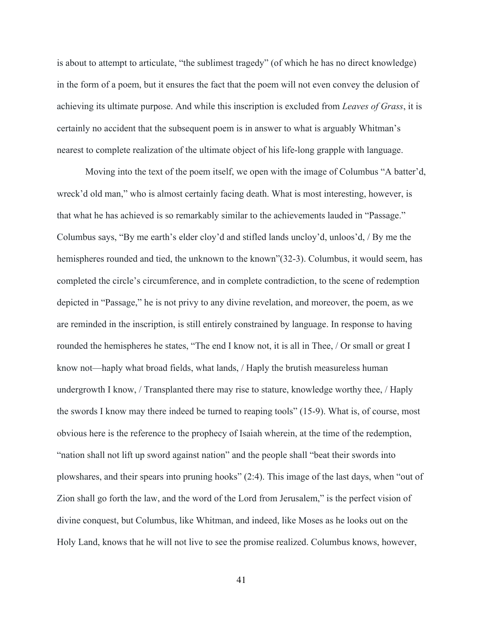is about to attempt to articulate, "the sublimest tragedy" (of which he has no direct knowledge) in the form of a poem, but it ensures the fact that the poem will not even convey the delusion of achieving its ultimate purpose. And while this inscription is excluded from *Leaves of Grass*, it is certainly no accident that the subsequent poem is in answer to what is arguably Whitman's nearest to complete realization of the ultimate object of his life-long grapple with language.

Moving into the text of the poem itself, we open with the image of Columbus "A batter'd, wreck'd old man," who is almost certainly facing death. What is most interesting, however, is that what he has achieved is so remarkably similar to the achievements lauded in "Passage." Columbus says, "By me earth's elder cloy'd and stifled lands uncloy'd, unloos'd, / By me the hemispheres rounded and tied, the unknown to the known"(32-3). Columbus, it would seem, has completed the circle's circumference, and in complete contradiction, to the scene of redemption depicted in "Passage," he is not privy to any divine revelation, and moreover, the poem, as we are reminded in the inscription, is still entirely constrained by language. In response to having rounded the hemispheres he states, "The end I know not, it is all in Thee, / Or small or great I know not—haply what broad fields, what lands, / Haply the brutish measureless human undergrowth I know, / Transplanted there may rise to stature, knowledge worthy thee, / Haply the swords I know may there indeed be turned to reaping tools" (15-9). What is, of course, most obvious here is the reference to the prophecy of Isaiah wherein, at the time of the redemption, "nation shall not lift up sword against nation" and the people shall "beat their swords into plowshares, and their spears into pruning hooks" (2:4). This image of the last days, when "out of Zion shall go forth the law, and the word of the Lord from Jerusalem," is the perfect vision of divine conquest, but Columbus, like Whitman, and indeed, like Moses as he looks out on the Holy Land, knows that he will not live to see the promise realized. Columbus knows, however,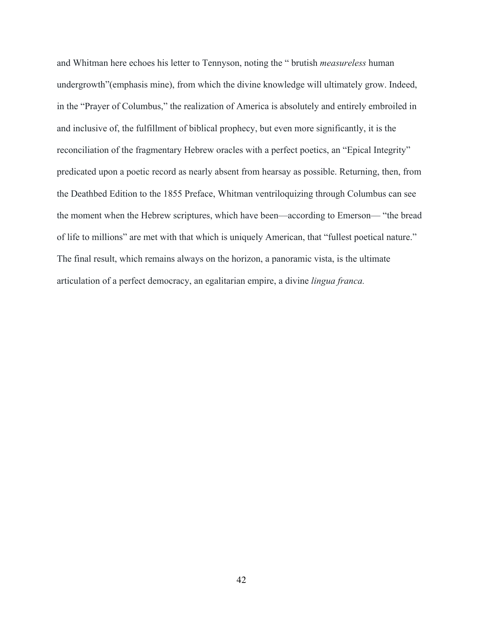and Whitman here echoes his letter to Tennyson, noting the " brutish *measureless* human undergrowth"(emphasis mine), from which the divine knowledge will ultimately grow. Indeed, in the "Prayer of Columbus," the realization of America is absolutely and entirely embroiled in and inclusive of, the fulfillment of biblical prophecy, but even more significantly, it is the reconciliation of the fragmentary Hebrew oracles with a perfect poetics, an "Epical Integrity" predicated upon a poetic record as nearly absent from hearsay as possible. Returning, then, from the Deathbed Edition to the 1855 Preface, Whitman ventriloquizing through Columbus can see the moment when the Hebrew scriptures, which have been—according to Emerson— "the bread of life to millions" are met with that which is uniquely American, that "fullest poetical nature." The final result, which remains always on the horizon, a panoramic vista, is the ultimate articulation of a perfect democracy, an egalitarian empire, a divine *lingua franca.*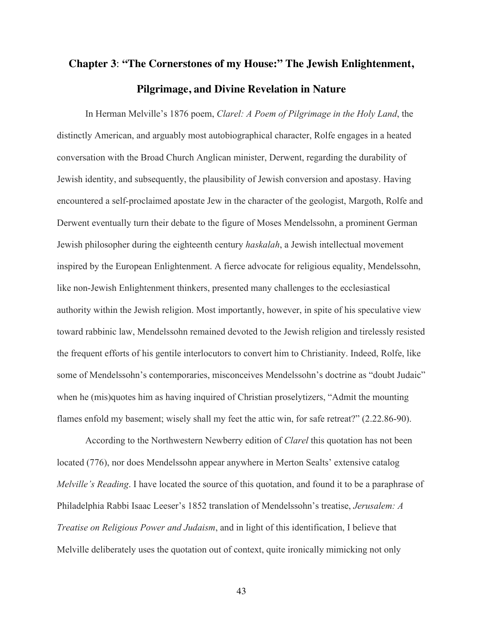## **Chapter 3**: **"The Cornerstones of my House:" The Jewish Enlightenment, Pilgrimage, and Divine Revelation in Nature**

In Herman Melville's 1876 poem, *Clarel: A Poem of Pilgrimage in the Holy Land*, the distinctly American, and arguably most autobiographical character, Rolfe engages in a heated conversation with the Broad Church Anglican minister, Derwent, regarding the durability of Jewish identity, and subsequently, the plausibility of Jewish conversion and apostasy. Having encountered a self-proclaimed apostate Jew in the character of the geologist, Margoth, Rolfe and Derwent eventually turn their debate to the figure of Moses Mendelssohn, a prominent German Jewish philosopher during the eighteenth century *haskalah*, a Jewish intellectual movement inspired by the European Enlightenment. A fierce advocate for religious equality, Mendelssohn, like non-Jewish Enlightenment thinkers, presented many challenges to the ecclesiastical authority within the Jewish religion. Most importantly, however, in spite of his speculative view toward rabbinic law, Mendelssohn remained devoted to the Jewish religion and tirelessly resisted the frequent efforts of his gentile interlocutors to convert him to Christianity. Indeed, Rolfe, like some of Mendelssohn's contemporaries, misconceives Mendelssohn's doctrine as "doubt Judaic" when he (mis)quotes him as having inquired of Christian proselytizers, "Admit the mounting flames enfold my basement; wisely shall my feet the attic win, for safe retreat?" (2.22.86-90).

According to the Northwestern Newberry edition of *Clarel* this quotation has not been located (776), nor does Mendelssohn appear anywhere in Merton Sealts' extensive catalog *Melville's Reading*. I have located the source of this quotation, and found it to be a paraphrase of Philadelphia Rabbi Isaac Leeser's 1852 translation of Mendelssohn's treatise, *Jerusalem: A Treatise on Religious Power and Judaism*, and in light of this identification, I believe that Melville deliberately uses the quotation out of context, quite ironically mimicking not only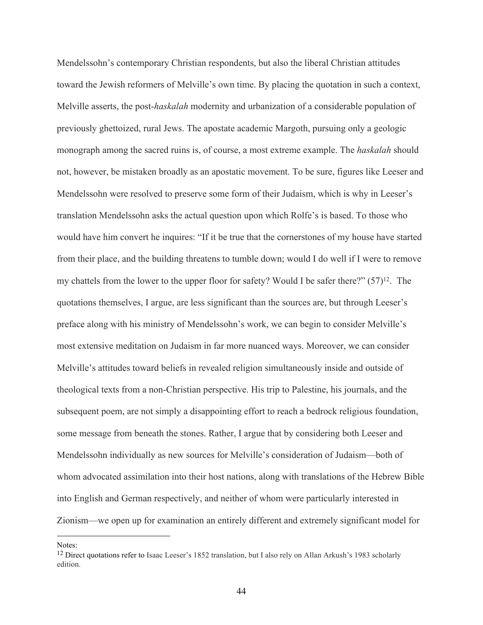Mendelssohn's contemporary Christian respondents, but also the liberal Christian attitudes toward the Jewish reformers of Melville's own time. By placing the quotation in such a context, Melville asserts, the post-*haskalah* modernity and urbanization of a considerable population of previously ghettoized, rural Jews. The apostate academic Margoth, pursuing only a geologic monograph among the sacred ruins is, of course, a most extreme example. The *haskalah* should not, however, be mistaken broadly as an apostatic movement. To be sure, figures like Leeser and Mendelssohn were resolved to preserve some form of their Judaism, which is why in Leeser's translation Mendelssohn asks the actual question upon which Rolfe's is based. To those who would have him convert he inquires: "If it be true that the cornerstones of my house have started from their place, and the building threatens to tumble down; would I do well if I were to remove my chattels from the lower to the upper floor for safety? Would I be safer there?" (57)12. The quotations themselves, I argue, are less significant than the sources are, but through Leeser's preface along with his ministry of Mendelssohn's work, we can begin to consider Melville's most extensive meditation on Judaism in far more nuanced ways. Moreover, we can consider Melville's attitudes toward beliefs in revealed religion simultaneously inside and outside of theological texts from a non-Christian perspective. His trip to Palestine, his journals, and the subsequent poem, are not simply a disappointing effort to reach a bedrock religious foundation, some message from beneath the stones. Rather, I argue that by considering both Leeser and Mendelssohn individually as new sources for Melville's consideration of Judaism—both of whom advocated assimilation into their host nations, along with translations of the Hebrew Bible into English and German respectively, and neither of whom were particularly interested in Zionism—we open up for examination an entirely different and extremely significant model for

Notes:

<sup>&</sup>lt;sup>12</sup> Direct quotations refer to Isaac Leeser's 1852 translation, but I also rely on Allan Arkush's 1983 scholarly edition.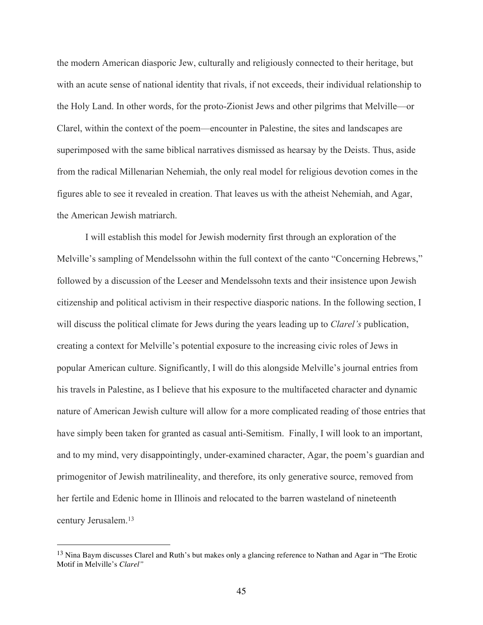the modern American diasporic Jew, culturally and religiously connected to their heritage, but with an acute sense of national identity that rivals, if not exceeds, their individual relationship to the Holy Land. In other words, for the proto-Zionist Jews and other pilgrims that Melville—or Clarel, within the context of the poem—encounter in Palestine, the sites and landscapes are superimposed with the same biblical narratives dismissed as hearsay by the Deists. Thus, aside from the radical Millenarian Nehemiah, the only real model for religious devotion comes in the figures able to see it revealed in creation. That leaves us with the atheist Nehemiah, and Agar, the American Jewish matriarch.

I will establish this model for Jewish modernity first through an exploration of the Melville's sampling of Mendelssohn within the full context of the canto "Concerning Hebrews," followed by a discussion of the Leeser and Mendelssohn texts and their insistence upon Jewish citizenship and political activism in their respective diasporic nations. In the following section, I will discuss the political climate for Jews during the years leading up to *Clarel's* publication, creating a context for Melville's potential exposure to the increasing civic roles of Jews in popular American culture. Significantly, I will do this alongside Melville's journal entries from his travels in Palestine, as I believe that his exposure to the multifaceted character and dynamic nature of American Jewish culture will allow for a more complicated reading of those entries that have simply been taken for granted as casual anti-Semitism. Finally, I will look to an important, and to my mind, very disappointingly, under-examined character, Agar, the poem's guardian and primogenitor of Jewish matrilineality, and therefore, its only generative source, removed from her fertile and Edenic home in Illinois and relocated to the barren wasteland of nineteenth century Jerusalem.13

 <sup>13</sup> Nina Baym discusses Clarel and Ruth's but makes only a glancing reference to Nathan and Agar in "The Erotic Motif in Melville's *Clarel"*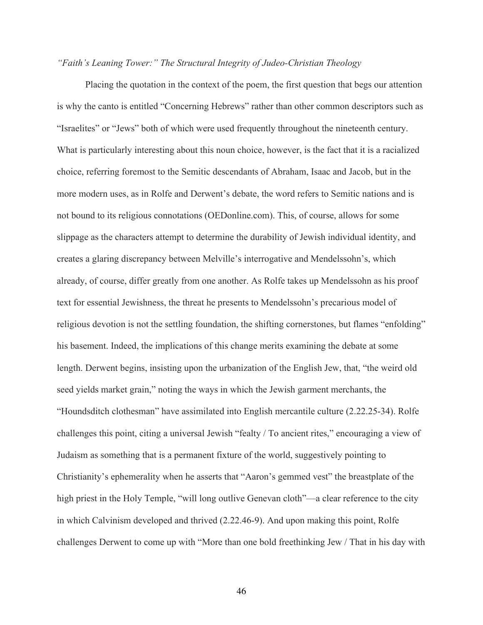## *"Faith's Leaning Tower:" The Structural Integrity of Judeo-Christian Theology*

Placing the quotation in the context of the poem, the first question that begs our attention is why the canto is entitled "Concerning Hebrews" rather than other common descriptors such as "Israelites" or "Jews" both of which were used frequently throughout the nineteenth century. What is particularly interesting about this noun choice, however, is the fact that it is a racialized choice, referring foremost to the Semitic descendants of Abraham, Isaac and Jacob, but in the more modern uses, as in Rolfe and Derwent's debate, the word refers to Semitic nations and is not bound to its religious connotations (OEDonline.com). This, of course, allows for some slippage as the characters attempt to determine the durability of Jewish individual identity, and creates a glaring discrepancy between Melville's interrogative and Mendelssohn's, which already, of course, differ greatly from one another. As Rolfe takes up Mendelssohn as his proof text for essential Jewishness, the threat he presents to Mendelssohn's precarious model of religious devotion is not the settling foundation, the shifting cornerstones, but flames "enfolding" his basement. Indeed, the implications of this change merits examining the debate at some length. Derwent begins, insisting upon the urbanization of the English Jew, that, "the weird old seed yields market grain," noting the ways in which the Jewish garment merchants, the "Houndsditch clothesman" have assimilated into English mercantile culture (2.22.25-34). Rolfe challenges this point, citing a universal Jewish "fealty / To ancient rites," encouraging a view of Judaism as something that is a permanent fixture of the world, suggestively pointing to Christianity's ephemerality when he asserts that "Aaron's gemmed vest" the breastplate of the high priest in the Holy Temple, "will long outlive Genevan cloth"—a clear reference to the city in which Calvinism developed and thrived (2.22.46-9). And upon making this point, Rolfe challenges Derwent to come up with "More than one bold freethinking Jew / That in his day with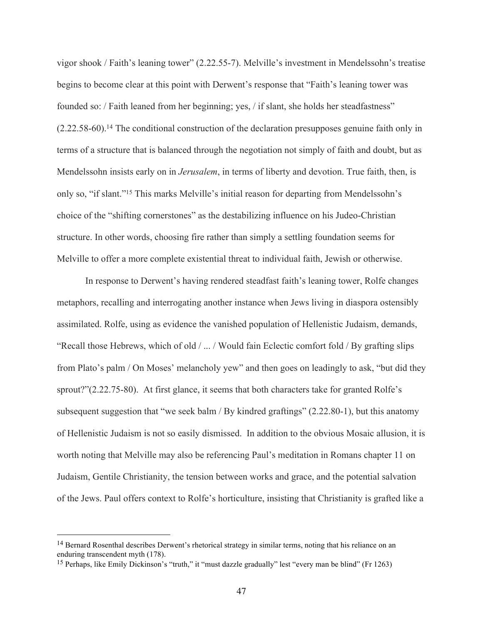vigor shook / Faith's leaning tower" (2.22.55-7). Melville's investment in Mendelssohn's treatise begins to become clear at this point with Derwent's response that "Faith's leaning tower was founded so: / Faith leaned from her beginning; yes, / if slant, she holds her steadfastness" (2.22.58-60). <sup>14</sup> The conditional construction of the declaration presupposes genuine faith only in terms of a structure that is balanced through the negotiation not simply of faith and doubt, but as Mendelssohn insists early on in *Jerusalem*, in terms of liberty and devotion. True faith, then, is only so, "if slant."15 This marks Melville's initial reason for departing from Mendelssohn's choice of the "shifting cornerstones" as the destabilizing influence on his Judeo-Christian structure. In other words, choosing fire rather than simply a settling foundation seems for Melville to offer a more complete existential threat to individual faith, Jewish or otherwise.

In response to Derwent's having rendered steadfast faith's leaning tower, Rolfe changes metaphors, recalling and interrogating another instance when Jews living in diaspora ostensibly assimilated. Rolfe, using as evidence the vanished population of Hellenistic Judaism, demands, "Recall those Hebrews, which of old / ... / Would fain Eclectic comfort fold / By grafting slips from Plato's palm / On Moses' melancholy yew" and then goes on leadingly to ask, "but did they sprout?"(2.22.75-80). At first glance, it seems that both characters take for granted Rolfe's subsequent suggestion that "we seek balm / By kindred graftings" (2.22.80-1), but this anatomy of Hellenistic Judaism is not so easily dismissed. In addition to the obvious Mosaic allusion, it is worth noting that Melville may also be referencing Paul's meditation in Romans chapter 11 on Judaism, Gentile Christianity, the tension between works and grace, and the potential salvation of the Jews. Paul offers context to Rolfe's horticulture, insisting that Christianity is grafted like a

<sup>&</sup>lt;sup>14</sup> Bernard Rosenthal describes Derwent's rhetorical strategy in similar terms, noting that his reliance on an enduring transcendent myth (178).

<sup>15</sup> Perhaps, like Emily Dickinson's "truth," it "must dazzle gradually" lest "every man be blind" (Fr 1263)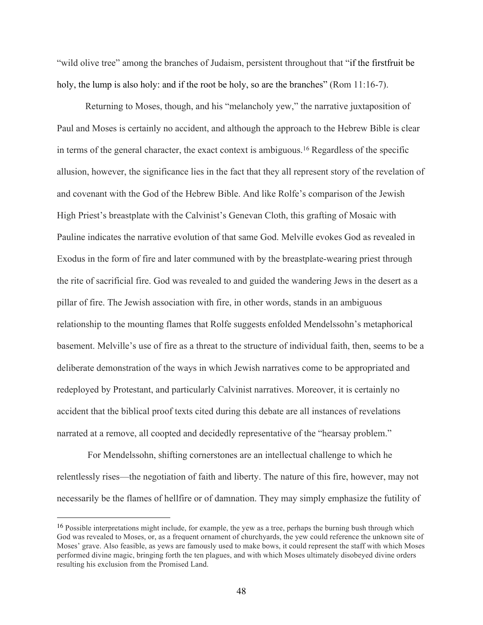"wild olive tree" among the branches of Judaism, persistent throughout that "if the firstfruit be holy, the lump is also holy: and if the root be holy, so are the branches" (Rom 11:16-7).

Returning to Moses, though, and his "melancholy yew," the narrative juxtaposition of Paul and Moses is certainly no accident, and although the approach to the Hebrew Bible is clear in terms of the general character, the exact context is ambiguous. <sup>16</sup> Regardless of the specific allusion, however, the significance lies in the fact that they all represent story of the revelation of and covenant with the God of the Hebrew Bible. And like Rolfe's comparison of the Jewish High Priest's breastplate with the Calvinist's Genevan Cloth, this grafting of Mosaic with Pauline indicates the narrative evolution of that same God. Melville evokes God as revealed in Exodus in the form of fire and later communed with by the breastplate-wearing priest through the rite of sacrificial fire. God was revealed to and guided the wandering Jews in the desert as a pillar of fire. The Jewish association with fire, in other words, stands in an ambiguous relationship to the mounting flames that Rolfe suggests enfolded Mendelssohn's metaphorical basement. Melville's use of fire as a threat to the structure of individual faith, then, seems to be a deliberate demonstration of the ways in which Jewish narratives come to be appropriated and redeployed by Protestant, and particularly Calvinist narratives. Moreover, it is certainly no accident that the biblical proof texts cited during this debate are all instances of revelations narrated at a remove, all coopted and decidedly representative of the "hearsay problem."

For Mendelssohn, shifting cornerstones are an intellectual challenge to which he relentlessly rises—the negotiation of faith and liberty. The nature of this fire, however, may not necessarily be the flames of hellfire or of damnation. They may simply emphasize the futility of

<sup>&</sup>lt;sup>16</sup> Possible interpretations might include, for example, the yew as a tree, perhaps the burning bush through which God was revealed to Moses, or, as a frequent ornament of churchyards, the yew could reference the unknown site of Moses' grave. Also feasible, as yews are famously used to make bows, it could represent the staff with which Moses performed divine magic, bringing forth the ten plagues, and with which Moses ultimately disobeyed divine orders resulting his exclusion from the Promised Land.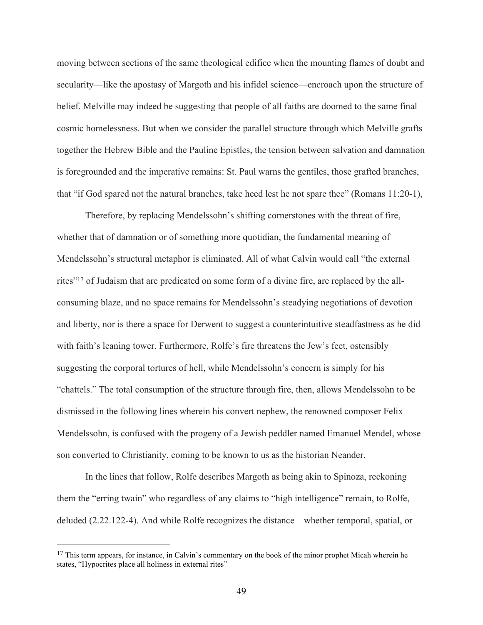moving between sections of the same theological edifice when the mounting flames of doubt and secularity—like the apostasy of Margoth and his infidel science—encroach upon the structure of belief. Melville may indeed be suggesting that people of all faiths are doomed to the same final cosmic homelessness. But when we consider the parallel structure through which Melville grafts together the Hebrew Bible and the Pauline Epistles, the tension between salvation and damnation is foregrounded and the imperative remains: St. Paul warns the gentiles, those grafted branches, that "if God spared not the natural branches, take heed lest he not spare thee" (Romans 11:20-1),

Therefore, by replacing Mendelssohn's shifting cornerstones with the threat of fire, whether that of damnation or of something more quotidian, the fundamental meaning of Mendelssohn's structural metaphor is eliminated. All of what Calvin would call "the external rites"17 of Judaism that are predicated on some form of a divine fire, are replaced by the allconsuming blaze, and no space remains for Mendelssohn's steadying negotiations of devotion and liberty, nor is there a space for Derwent to suggest a counterintuitive steadfastness as he did with faith's leaning tower. Furthermore, Rolfe's fire threatens the Jew's feet, ostensibly suggesting the corporal tortures of hell, while Mendelssohn's concern is simply for his "chattels." The total consumption of the structure through fire, then, allows Mendelssohn to be dismissed in the following lines wherein his convert nephew, the renowned composer Felix Mendelssohn, is confused with the progeny of a Jewish peddler named Emanuel Mendel, whose son converted to Christianity, coming to be known to us as the historian Neander.

In the lines that follow, Rolfe describes Margoth as being akin to Spinoza, reckoning them the "erring twain" who regardless of any claims to "high intelligence" remain, to Rolfe, deluded (2.22.122-4). And while Rolfe recognizes the distance—whether temporal, spatial, or

<sup>&</sup>lt;sup>17</sup> This term appears, for instance, in Calvin's commentary on the book of the minor prophet Micah wherein he states, "Hypocrites place all holiness in external rites"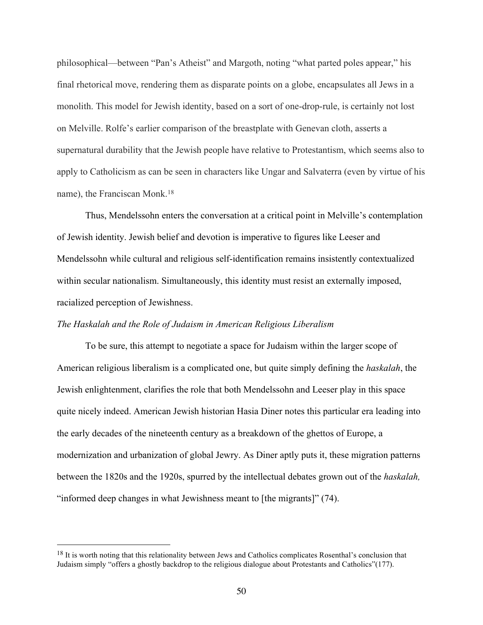philosophical—between "Pan's Atheist" and Margoth, noting "what parted poles appear," his final rhetorical move, rendering them as disparate points on a globe, encapsulates all Jews in a monolith. This model for Jewish identity, based on a sort of one-drop-rule, is certainly not lost on Melville. Rolfe's earlier comparison of the breastplate with Genevan cloth, asserts a supernatural durability that the Jewish people have relative to Protestantism, which seems also to apply to Catholicism as can be seen in characters like Ungar and Salvaterra (even by virtue of his name), the Franciscan Monk. 18

Thus, Mendelssohn enters the conversation at a critical point in Melville's contemplation of Jewish identity. Jewish belief and devotion is imperative to figures like Leeser and Mendelssohn while cultural and religious self-identification remains insistently contextualized within secular nationalism. Simultaneously, this identity must resist an externally imposed, racialized perception of Jewishness.

## *The Haskalah and the Role of Judaism in American Religious Liberalism*

To be sure, this attempt to negotiate a space for Judaism within the larger scope of American religious liberalism is a complicated one, but quite simply defining the *haskalah*, the Jewish enlightenment, clarifies the role that both Mendelssohn and Leeser play in this space quite nicely indeed. American Jewish historian Hasia Diner notes this particular era leading into the early decades of the nineteenth century as a breakdown of the ghettos of Europe, a modernization and urbanization of global Jewry. As Diner aptly puts it, these migration patterns between the 1820s and the 1920s, spurred by the intellectual debates grown out of the *haskalah,* "informed deep changes in what Jewishness meant to [the migrants]" (74).

<sup>&</sup>lt;sup>18</sup> It is worth noting that this relationality between Jews and Catholics complicates Rosenthal's conclusion that Judaism simply "offers a ghostly backdrop to the religious dialogue about Protestants and Catholics"(177).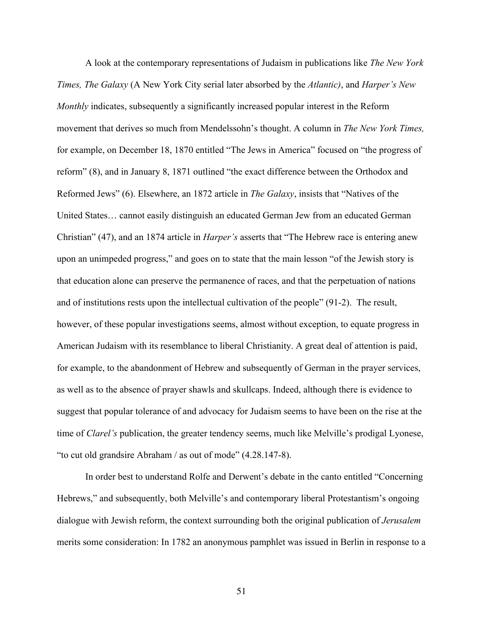A look at the contemporary representations of Judaism in publications like *The New York Times, The Galaxy* (A New York City serial later absorbed by the *Atlantic)*, and *Harper's New Monthly* indicates, subsequently a significantly increased popular interest in the Reform movement that derives so much from Mendelssohn's thought. A column in *The New York Times,*  for example, on December 18, 1870 entitled "The Jews in America" focused on "the progress of reform" (8), and in January 8, 1871 outlined "the exact difference between the Orthodox and Reformed Jews" (6). Elsewhere, an 1872 article in *The Galaxy*, insists that "Natives of the United States… cannot easily distinguish an educated German Jew from an educated German Christian" (47), and an 1874 article in *Harper's* asserts that "The Hebrew race is entering anew upon an unimpeded progress," and goes on to state that the main lesson "of the Jewish story is that education alone can preserve the permanence of races, and that the perpetuation of nations and of institutions rests upon the intellectual cultivation of the people" (91-2). The result, however, of these popular investigations seems, almost without exception, to equate progress in American Judaism with its resemblance to liberal Christianity. A great deal of attention is paid, for example, to the abandonment of Hebrew and subsequently of German in the prayer services, as well as to the absence of prayer shawls and skullcaps. Indeed, although there is evidence to suggest that popular tolerance of and advocacy for Judaism seems to have been on the rise at the time of *Clarel's* publication, the greater tendency seems, much like Melville's prodigal Lyonese, "to cut old grandsire Abraham / as out of mode" (4.28.147-8).

In order best to understand Rolfe and Derwent's debate in the canto entitled "Concerning Hebrews," and subsequently, both Melville's and contemporary liberal Protestantism's ongoing dialogue with Jewish reform, the context surrounding both the original publication of *Jerusalem*  merits some consideration: In 1782 an anonymous pamphlet was issued in Berlin in response to a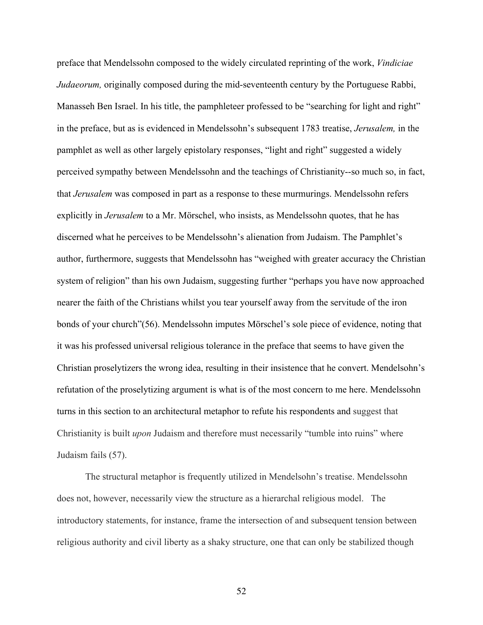preface that Mendelssohn composed to the widely circulated reprinting of the work, *Vindiciae Judaeorum,* originally composed during the mid-seventeenth century by the Portuguese Rabbi, Manasseh Ben Israel. In his title, the pamphleteer professed to be "searching for light and right" in the preface, but as is evidenced in Mendelssohn's subsequent 1783 treatise, *Jerusalem,* in the pamphlet as well as other largely epistolary responses, "light and right" suggested a widely perceived sympathy between Mendelssohn and the teachings of Christianity--so much so, in fact, that *Jerusalem* was composed in part as a response to these murmurings. Mendelssohn refers explicitly in *Jerusalem* to a Mr. Mörschel, who insists, as Mendelssohn quotes, that he has discerned what he perceives to be Mendelssohn's alienation from Judaism. The Pamphlet's author, furthermore, suggests that Mendelssohn has "weighed with greater accuracy the Christian system of religion" than his own Judaism, suggesting further "perhaps you have now approached nearer the faith of the Christians whilst you tear yourself away from the servitude of the iron bonds of your church"(56). Mendelssohn imputes Mörschel's sole piece of evidence, noting that it was his professed universal religious tolerance in the preface that seems to have given the Christian proselytizers the wrong idea, resulting in their insistence that he convert. Mendelsohn's refutation of the proselytizing argument is what is of the most concern to me here. Mendelssohn turns in this section to an architectural metaphor to refute his respondents and suggest that Christianity is built *upon* Judaism and therefore must necessarily "tumble into ruins" where Judaism fails (57).

The structural metaphor is frequently utilized in Mendelsohn's treatise. Mendelssohn does not, however, necessarily view the structure as a hierarchal religious model. The introductory statements, for instance, frame the intersection of and subsequent tension between religious authority and civil liberty as a shaky structure, one that can only be stabilized though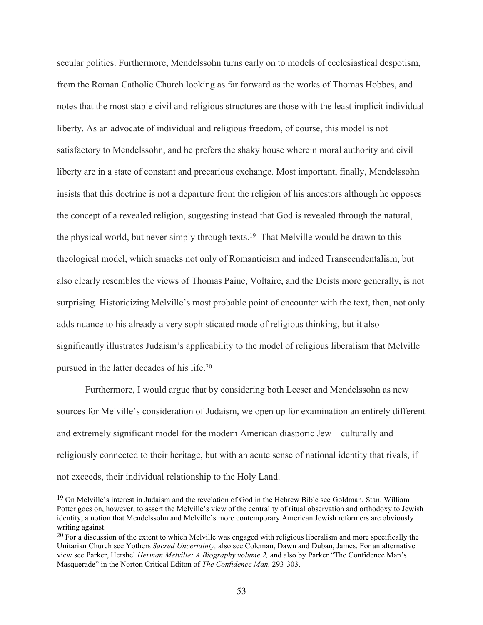secular politics. Furthermore, Mendelssohn turns early on to models of ecclesiastical despotism, from the Roman Catholic Church looking as far forward as the works of Thomas Hobbes, and notes that the most stable civil and religious structures are those with the least implicit individual liberty. As an advocate of individual and religious freedom, of course, this model is not satisfactory to Mendelssohn, and he prefers the shaky house wherein moral authority and civil liberty are in a state of constant and precarious exchange. Most important, finally, Mendelssohn insists that this doctrine is not a departure from the religion of his ancestors although he opposes the concept of a revealed religion, suggesting instead that God is revealed through the natural, the physical world, but never simply through texts.19 That Melville would be drawn to this theological model, which smacks not only of Romanticism and indeed Transcendentalism, but also clearly resembles the views of Thomas Paine, Voltaire, and the Deists more generally, is not surprising. Historicizing Melville's most probable point of encounter with the text, then, not only adds nuance to his already a very sophisticated mode of religious thinking, but it also significantly illustrates Judaism's applicability to the model of religious liberalism that Melville pursued in the latter decades of his life.20

Furthermore, I would argue that by considering both Leeser and Mendelssohn as new sources for Melville's consideration of Judaism, we open up for examination an entirely different and extremely significant model for the modern American diasporic Jew—culturally and religiously connected to their heritage, but with an acute sense of national identity that rivals, if not exceeds, their individual relationship to the Holy Land.

<sup>&</sup>lt;sup>19</sup> On Melville's interest in Judaism and the revelation of God in the Hebrew Bible see Goldman, Stan. William Potter goes on, however, to assert the Melville's view of the centrality of ritual observation and orthodoxy to Jewish identity, a notion that Mendelssohn and Melville's more contemporary American Jewish reformers are obviously writing against.

 $20$  For a discussion of the extent to which Melville was engaged with religious liberalism and more specifically the Unitarian Church see Yothers *Sacred Uncertainty,* also see Coleman, Dawn and Duban, James. For an alternative view see Parker, Hershel *Herman Melville: A Biography volume 2,* and also by Parker "The Confidence Man's Masquerade" in the Norton Critical Editon of *The Confidence Man.* 293-303.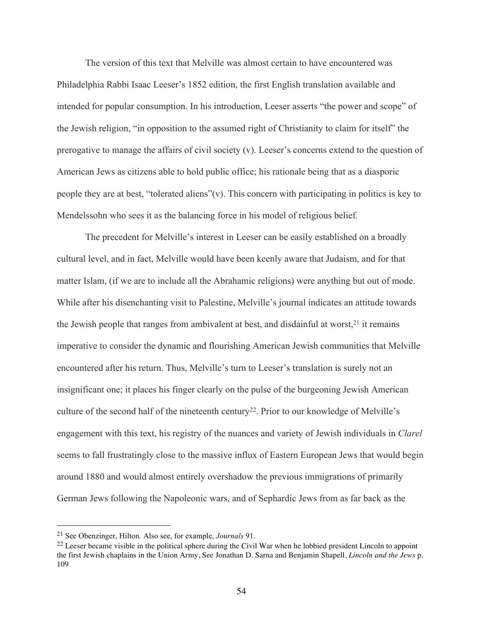The version of this text that Melville was almost certain to have encountered was Philadelphia Rabbi Isaac Leeser's 1852 edition, the first English translation available and intended for popular consumption. In his introduction, Leeser asserts "the power and scope" of the Jewish religion, "in opposition to the assumed right of Christianity to claim for itself" the prerogative to manage the affairs of civil society (v). Leeser's concerns extend to the question of American Jews as citizens able to hold public office; his rationale being that as a diasporic people they are at best, "tolerated aliens"(v). This concern with participating in politics is key to Mendelssohn who sees it as the balancing force in his model of religious belief*.*

The precedent for Melville's interest in Leeser can be easily established on a broadly cultural level, and in fact, Melville would have been keenly aware that Judaism, and for that matter Islam, (if we are to include all the Abrahamic religions) were anything but out of mode. While after his disenchanting visit to Palestine, Melville's journal indicates an attitude towards the Jewish people that ranges from ambivalent at best, and disdainful at worst, $2<sup>1</sup>$  it remains imperative to consider the dynamic and flourishing American Jewish communities that Melville encountered after his return. Thus, Melville's turn to Leeser's translation is surely not an insignificant one; it places his finger clearly on the pulse of the burgeoning Jewish American culture of the second half of the nineteenth century<sup>22</sup>. Prior to our knowledge of Melville's engagement with this text, his registry of the nuances and variety of Jewish individuals in *Clarel* seems to fall frustratingly close to the massive influx of Eastern European Jews that would begin around 1880 and would almost entirely overshadow the previous immigrations of primarily German Jews following the Napoleonic wars, and of Sephardic Jews from as far back as the

<sup>21</sup> See Obenzinger, Hilton*.* Also see, for example, *Journals* 91.

 $^{22}$  Leeser became visible in the political sphere during the Civil War when he lobbied president Lincoln to appoint the first Jewish chaplains in the Union Army, See Jonathan D. Sarna and Benjamin Shapell, *Lincoln and the Jews* p. 109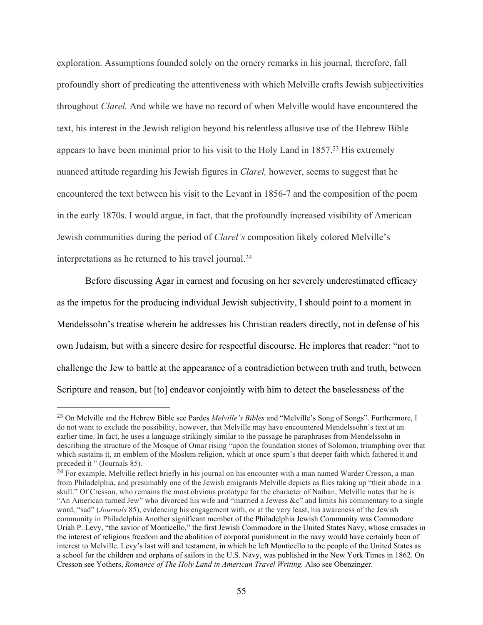exploration. Assumptions founded solely on the ornery remarks in his journal, therefore, fall profoundly short of predicating the attentiveness with which Melville crafts Jewish subjectivities throughout *Clarel.* And while we have no record of when Melville would have encountered the text, his interest in the Jewish religion beyond his relentless allusive use of the Hebrew Bible appears to have been minimal prior to his visit to the Holy Land in 1857.23 His extremely nuanced attitude regarding his Jewish figures in *Clarel,* however, seems to suggest that he encountered the text between his visit to the Levant in 1856-7 and the composition of the poem in the early 1870s. I would argue, in fact, that the profoundly increased visibility of American Jewish communities during the period of *Clarel's* composition likely colored Melville's interpretations as he returned to his travel journal.24

Before discussing Agar in earnest and focusing on her severely underestimated efficacy as the impetus for the producing individual Jewish subjectivity, I should point to a moment in Mendelssohn's treatise wherein he addresses his Christian readers directly, not in defense of his own Judaism, but with a sincere desire for respectful discourse. He implores that reader: "not to challenge the Jew to battle at the appearance of a contradiction between truth and truth, between Scripture and reason, but [to] endeavor conjointly with him to detect the baselessness of the

<sup>23</sup> On Melville and the Hebrew Bible see Pardes *Melville's Bibles* and "Melville's Song of Songs". Furthermore, I do not want to exclude the possibility, however, that Melville may have encountered Mendelssohn's text at an earlier time. In fact, he uses a language strikingly similar to the passage he paraphrases from Mendelssohn in describing the structure of the Mosque of Omar rising "upon the foundation stones of Solomon, triumphing over that which sustains it, an emblem of the Moslem religion, which at once spurn's that deeper faith which fathered it and preceded it " (Journals 85).

<sup>&</sup>lt;sup>24</sup> For example, Melville reflect briefly in his journal on his encounter with a man named Warder Cresson, a man from Philadelphia, and presumably one of the Jewish emigrants Melville depicts as flies taking up "their abode in a skull." Of Cresson, who remains the most obvious prototype for the character of Nathan, Melville notes that he is "An American turned Jew" who divorced his wife and "married a Jewess &c" and limits his commentary to a single word, "sad" (*Journals* 85), evidencing his engagement with, or at the very least, his awareness of the Jewish community in Philadelphia Another significant member of the Philadelphia Jewish Community was Commodore Uriah P. Levy, "the savior of Monticello," the first Jewish Commodore in the United States Navy, whose crusades in the interest of religious freedom and the abolition of corporal punishment in the navy would have certainly been of interest to Melville. Levy's last will and testament, in which he left Monticello to the people of the United States as a school for the children and orphans of sailors in the U.S. Navy, was published in the New York Times in 1862. On Cresson see Yothers, *Romance of The Holy Land in American Travel Writing.* Also see Obenzinger.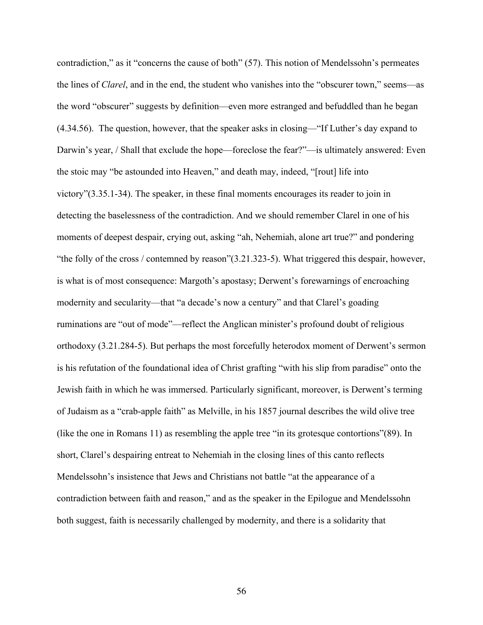contradiction," as it "concerns the cause of both" (57). This notion of Mendelssohn's permeates the lines of *Clarel*, and in the end, the student who vanishes into the "obscurer town," seems—as the word "obscurer" suggests by definition—even more estranged and befuddled than he began (4.34.56). The question, however, that the speaker asks in closing—"If Luther's day expand to Darwin's year, / Shall that exclude the hope—foreclose the fear?"—is ultimately answered: Even the stoic may "be astounded into Heaven," and death may, indeed, "[rout] life into victory"(3.35.1-34). The speaker, in these final moments encourages its reader to join in detecting the baselessness of the contradiction. And we should remember Clarel in one of his moments of deepest despair, crying out, asking "ah, Nehemiah, alone art true?" and pondering "the folly of the cross / contemned by reason"(3.21.323-5). What triggered this despair, however, is what is of most consequence: Margoth's apostasy; Derwent's forewarnings of encroaching modernity and secularity—that "a decade's now a century" and that Clarel's goading ruminations are "out of mode"—reflect the Anglican minister's profound doubt of religious orthodoxy (3.21.284-5). But perhaps the most forcefully heterodox moment of Derwent's sermon is his refutation of the foundational idea of Christ grafting "with his slip from paradise" onto the Jewish faith in which he was immersed. Particularly significant, moreover, is Derwent's terming of Judaism as a "crab-apple faith" as Melville, in his 1857 journal describes the wild olive tree (like the one in Romans 11) as resembling the apple tree "in its grotesque contortions"(89). In short, Clarel's despairing entreat to Nehemiah in the closing lines of this canto reflects Mendelssohn's insistence that Jews and Christians not battle "at the appearance of a contradiction between faith and reason," and as the speaker in the Epilogue and Mendelssohn both suggest, faith is necessarily challenged by modernity, and there is a solidarity that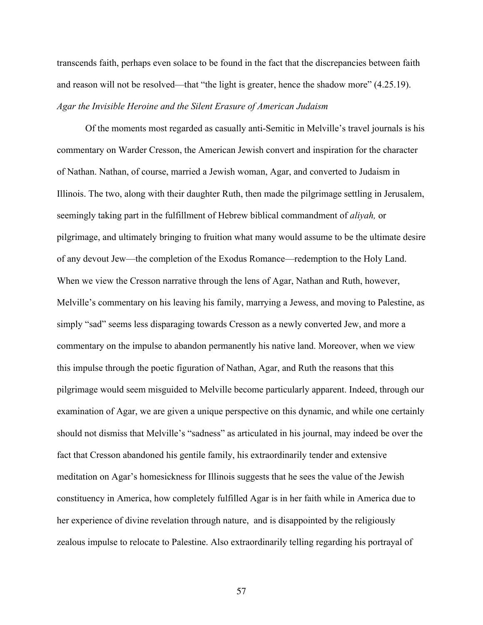transcends faith, perhaps even solace to be found in the fact that the discrepancies between faith and reason will not be resolved—that "the light is greater, hence the shadow more" (4.25.19). *Agar the Invisible Heroine and the Silent Erasure of American Judaism*

Of the moments most regarded as casually anti-Semitic in Melville's travel journals is his commentary on Warder Cresson, the American Jewish convert and inspiration for the character of Nathan. Nathan, of course, married a Jewish woman, Agar, and converted to Judaism in Illinois. The two, along with their daughter Ruth, then made the pilgrimage settling in Jerusalem, seemingly taking part in the fulfillment of Hebrew biblical commandment of *aliyah,* or pilgrimage, and ultimately bringing to fruition what many would assume to be the ultimate desire of any devout Jew—the completion of the Exodus Romance—redemption to the Holy Land. When we view the Cresson narrative through the lens of Agar, Nathan and Ruth, however, Melville's commentary on his leaving his family, marrying a Jewess, and moving to Palestine, as simply "sad" seems less disparaging towards Cresson as a newly converted Jew, and more a commentary on the impulse to abandon permanently his native land. Moreover, when we view this impulse through the poetic figuration of Nathan, Agar, and Ruth the reasons that this pilgrimage would seem misguided to Melville become particularly apparent. Indeed, through our examination of Agar, we are given a unique perspective on this dynamic, and while one certainly should not dismiss that Melville's "sadness" as articulated in his journal, may indeed be over the fact that Cresson abandoned his gentile family, his extraordinarily tender and extensive meditation on Agar's homesickness for Illinois suggests that he sees the value of the Jewish constituency in America, how completely fulfilled Agar is in her faith while in America due to her experience of divine revelation through nature, and is disappointed by the religiously zealous impulse to relocate to Palestine. Also extraordinarily telling regarding his portrayal of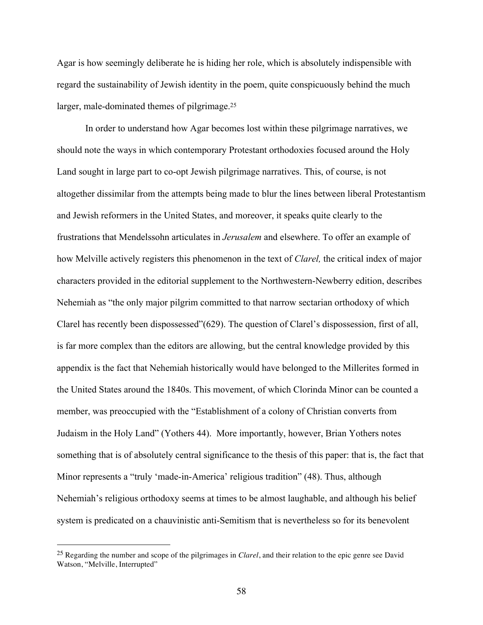Agar is how seemingly deliberate he is hiding her role, which is absolutely indispensible with regard the sustainability of Jewish identity in the poem, quite conspicuously behind the much larger, male-dominated themes of pilgrimage. 25

In order to understand how Agar becomes lost within these pilgrimage narratives, we should note the ways in which contemporary Protestant orthodoxies focused around the Holy Land sought in large part to co-opt Jewish pilgrimage narratives. This, of course, is not altogether dissimilar from the attempts being made to blur the lines between liberal Protestantism and Jewish reformers in the United States, and moreover, it speaks quite clearly to the frustrations that Mendelssohn articulates in *Jerusalem* and elsewhere. To offer an example of how Melville actively registers this phenomenon in the text of *Clarel,* the critical index of major characters provided in the editorial supplement to the Northwestern-Newberry edition, describes Nehemiah as "the only major pilgrim committed to that narrow sectarian orthodoxy of which Clarel has recently been dispossessed"(629). The question of Clarel's dispossession, first of all, is far more complex than the editors are allowing, but the central knowledge provided by this appendix is the fact that Nehemiah historically would have belonged to the Millerites formed in the United States around the 1840s. This movement, of which Clorinda Minor can be counted a member, was preoccupied with the "Establishment of a colony of Christian converts from Judaism in the Holy Land" (Yothers 44). More importantly, however, Brian Yothers notes something that is of absolutely central significance to the thesis of this paper: that is, the fact that Minor represents a "truly 'made-in-America' religious tradition" (48). Thus, although Nehemiah's religious orthodoxy seems at times to be almost laughable, and although his belief system is predicated on a chauvinistic anti-Semitism that is nevertheless so for its benevolent

 <sup>25</sup> Regarding the number and scope of the pilgrimages in *Clarel*, and their relation to the epic genre see David Watson, "Melville, Interrupted"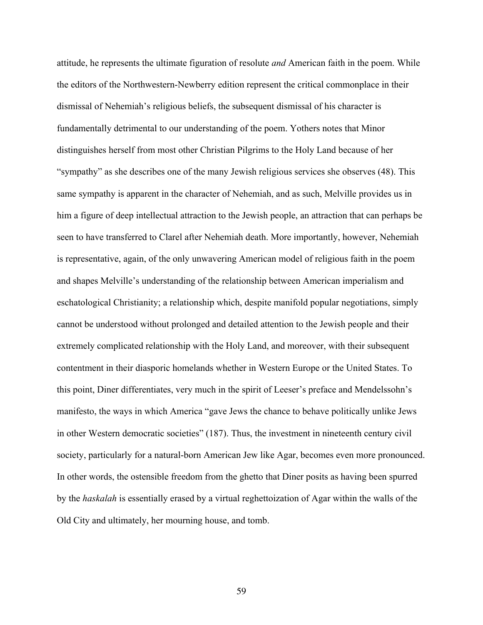attitude, he represents the ultimate figuration of resolute *and* American faith in the poem. While the editors of the Northwestern-Newberry edition represent the critical commonplace in their dismissal of Nehemiah's religious beliefs, the subsequent dismissal of his character is fundamentally detrimental to our understanding of the poem. Yothers notes that Minor distinguishes herself from most other Christian Pilgrims to the Holy Land because of her "sympathy" as she describes one of the many Jewish religious services she observes (48). This same sympathy is apparent in the character of Nehemiah, and as such, Melville provides us in him a figure of deep intellectual attraction to the Jewish people, an attraction that can perhaps be seen to have transferred to Clarel after Nehemiah death. More importantly, however, Nehemiah is representative, again, of the only unwavering American model of religious faith in the poem and shapes Melville's understanding of the relationship between American imperialism and eschatological Christianity; a relationship which, despite manifold popular negotiations, simply cannot be understood without prolonged and detailed attention to the Jewish people and their extremely complicated relationship with the Holy Land, and moreover, with their subsequent contentment in their diasporic homelands whether in Western Europe or the United States. To this point, Diner differentiates, very much in the spirit of Leeser's preface and Mendelssohn's manifesto, the ways in which America "gave Jews the chance to behave politically unlike Jews in other Western democratic societies" (187). Thus, the investment in nineteenth century civil society, particularly for a natural-born American Jew like Agar, becomes even more pronounced. In other words, the ostensible freedom from the ghetto that Diner posits as having been spurred by the *haskalah* is essentially erased by a virtual reghettoization of Agar within the walls of the Old City and ultimately, her mourning house, and tomb.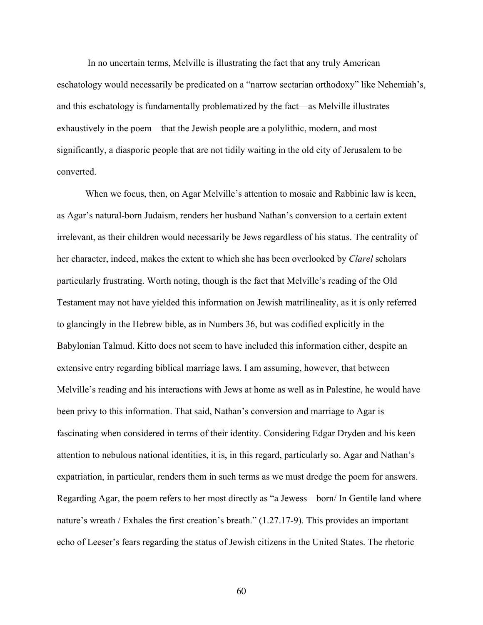In no uncertain terms, Melville is illustrating the fact that any truly American eschatology would necessarily be predicated on a "narrow sectarian orthodoxy" like Nehemiah's, and this eschatology is fundamentally problematized by the fact—as Melville illustrates exhaustively in the poem—that the Jewish people are a polylithic, modern, and most significantly, a diasporic people that are not tidily waiting in the old city of Jerusalem to be converted.

When we focus, then, on Agar Melville's attention to mosaic and Rabbinic law is keen, as Agar's natural-born Judaism, renders her husband Nathan's conversion to a certain extent irrelevant, as their children would necessarily be Jews regardless of his status. The centrality of her character, indeed, makes the extent to which she has been overlooked by *Clarel* scholars particularly frustrating. Worth noting, though is the fact that Melville's reading of the Old Testament may not have yielded this information on Jewish matrilineality, as it is only referred to glancingly in the Hebrew bible, as in Numbers 36, but was codified explicitly in the Babylonian Talmud. Kitto does not seem to have included this information either, despite an extensive entry regarding biblical marriage laws. I am assuming, however, that between Melville's reading and his interactions with Jews at home as well as in Palestine, he would have been privy to this information. That said, Nathan's conversion and marriage to Agar is fascinating when considered in terms of their identity. Considering Edgar Dryden and his keen attention to nebulous national identities, it is, in this regard, particularly so. Agar and Nathan's expatriation, in particular, renders them in such terms as we must dredge the poem for answers. Regarding Agar, the poem refers to her most directly as "a Jewess—born/ In Gentile land where nature's wreath / Exhales the first creation's breath." (1.27.17-9). This provides an important echo of Leeser's fears regarding the status of Jewish citizens in the United States. The rhetoric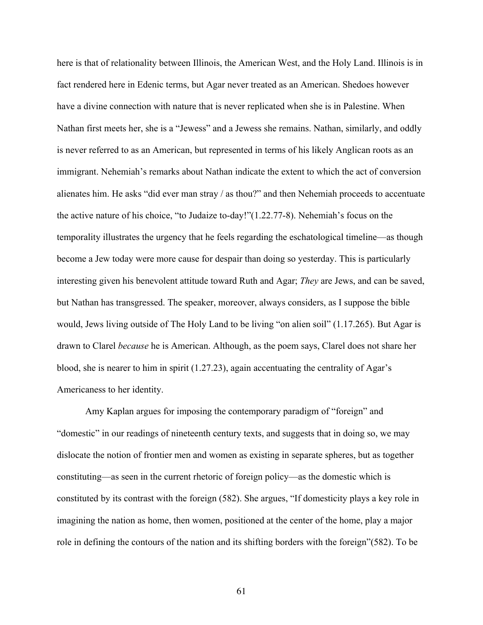here is that of relationality between Illinois, the American West, and the Holy Land. Illinois is in fact rendered here in Edenic terms, but Agar never treated as an American. Shedoes however have a divine connection with nature that is never replicated when she is in Palestine. When Nathan first meets her, she is a "Jewess" and a Jewess she remains. Nathan, similarly, and oddly is never referred to as an American, but represented in terms of his likely Anglican roots as an immigrant. Nehemiah's remarks about Nathan indicate the extent to which the act of conversion alienates him. He asks "did ever man stray / as thou?" and then Nehemiah proceeds to accentuate the active nature of his choice, "to Judaize to-day!"(1.22.77-8). Nehemiah's focus on the temporality illustrates the urgency that he feels regarding the eschatological timeline—as though become a Jew today were more cause for despair than doing so yesterday. This is particularly interesting given his benevolent attitude toward Ruth and Agar; *They* are Jews, and can be saved, but Nathan has transgressed. The speaker, moreover, always considers, as I suppose the bible would, Jews living outside of The Holy Land to be living "on alien soil" (1.17.265). But Agar is drawn to Clarel *because* he is American. Although, as the poem says, Clarel does not share her blood, she is nearer to him in spirit (1.27.23), again accentuating the centrality of Agar's Americaness to her identity.

Amy Kaplan argues for imposing the contemporary paradigm of "foreign" and "domestic" in our readings of nineteenth century texts, and suggests that in doing so, we may dislocate the notion of frontier men and women as existing in separate spheres, but as together constituting—as seen in the current rhetoric of foreign policy—as the domestic which is constituted by its contrast with the foreign (582). She argues, "If domesticity plays a key role in imagining the nation as home, then women, positioned at the center of the home, play a major role in defining the contours of the nation and its shifting borders with the foreign"(582). To be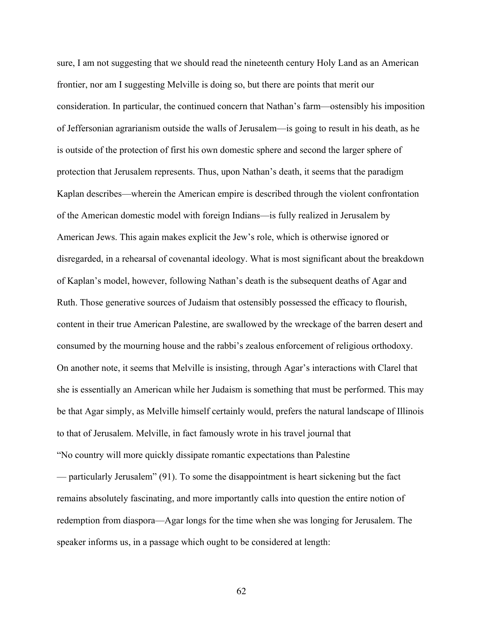sure, I am not suggesting that we should read the nineteenth century Holy Land as an American frontier, nor am I suggesting Melville is doing so, but there are points that merit our consideration. In particular, the continued concern that Nathan's farm—ostensibly his imposition of Jeffersonian agrarianism outside the walls of Jerusalem—is going to result in his death, as he is outside of the protection of first his own domestic sphere and second the larger sphere of protection that Jerusalem represents. Thus, upon Nathan's death, it seems that the paradigm Kaplan describes—wherein the American empire is described through the violent confrontation of the American domestic model with foreign Indians—is fully realized in Jerusalem by American Jews. This again makes explicit the Jew's role, which is otherwise ignored or disregarded, in a rehearsal of covenantal ideology. What is most significant about the breakdown of Kaplan's model, however, following Nathan's death is the subsequent deaths of Agar and Ruth. Those generative sources of Judaism that ostensibly possessed the efficacy to flourish, content in their true American Palestine, are swallowed by the wreckage of the barren desert and consumed by the mourning house and the rabbi's zealous enforcement of religious orthodoxy. On another note, it seems that Melville is insisting, through Agar's interactions with Clarel that she is essentially an American while her Judaism is something that must be performed. This may be that Agar simply, as Melville himself certainly would, prefers the natural landscape of Illinois to that of Jerusalem. Melville, in fact famously wrote in his travel journal that "No country will more quickly dissipate romantic expectations than Palestine — particularly Jerusalem" (91). To some the disappointment is heart sickening but the fact remains absolutely fascinating, and more importantly calls into question the entire notion of redemption from diaspora—Agar longs for the time when she was longing for Jerusalem. The speaker informs us, in a passage which ought to be considered at length: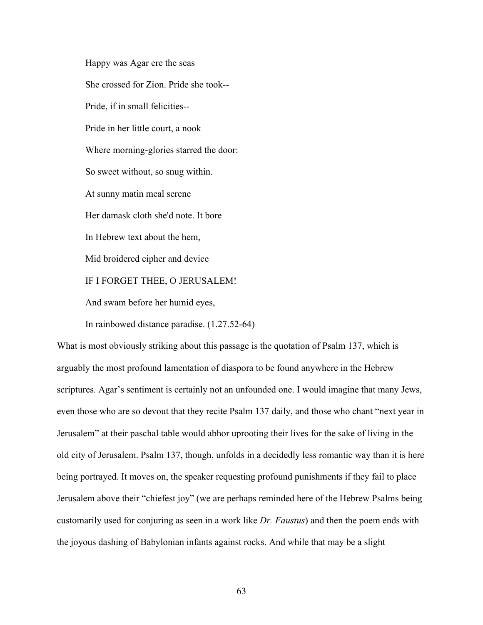Happy was Agar ere the seas She crossed for Zion. Pride she took-- Pride, if in small felicities-- Pride in her little court, a nook Where morning-glories starred the door: So sweet without, so snug within. At sunny matin meal serene Her damask cloth she'd note. It bore In Hebrew text about the hem, Mid broidered cipher and device IF I FORGET THEE, O JERUSALEM! And swam before her humid eyes, In rainbowed distance paradise. (1.27.52-64)

What is most obviously striking about this passage is the quotation of Psalm 137, which is arguably the most profound lamentation of diaspora to be found anywhere in the Hebrew scriptures. Agar's sentiment is certainly not an unfounded one. I would imagine that many Jews, even those who are so devout that they recite Psalm 137 daily, and those who chant "next year in Jerusalem" at their paschal table would abhor uprooting their lives for the sake of living in the old city of Jerusalem. Psalm 137, though, unfolds in a decidedly less romantic way than it is here being portrayed. It moves on, the speaker requesting profound punishments if they fail to place Jerusalem above their "chiefest joy" (we are perhaps reminded here of the Hebrew Psalms being customarily used for conjuring as seen in a work like *Dr. Faustus*) and then the poem ends with the joyous dashing of Babylonian infants against rocks. And while that may be a slight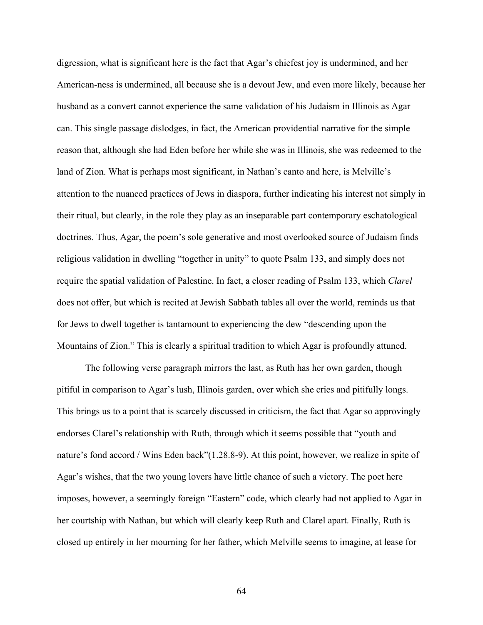digression, what is significant here is the fact that Agar's chiefest joy is undermined, and her American-ness is undermined, all because she is a devout Jew, and even more likely, because her husband as a convert cannot experience the same validation of his Judaism in Illinois as Agar can. This single passage dislodges, in fact, the American providential narrative for the simple reason that, although she had Eden before her while she was in Illinois, she was redeemed to the land of Zion. What is perhaps most significant, in Nathan's canto and here, is Melville's attention to the nuanced practices of Jews in diaspora, further indicating his interest not simply in their ritual, but clearly, in the role they play as an inseparable part contemporary eschatological doctrines. Thus, Agar, the poem's sole generative and most overlooked source of Judaism finds religious validation in dwelling "together in unity" to quote Psalm 133, and simply does not require the spatial validation of Palestine. In fact, a closer reading of Psalm 133, which *Clarel*  does not offer, but which is recited at Jewish Sabbath tables all over the world, reminds us that for Jews to dwell together is tantamount to experiencing the dew "descending upon the Mountains of Zion." This is clearly a spiritual tradition to which Agar is profoundly attuned.

The following verse paragraph mirrors the last, as Ruth has her own garden, though pitiful in comparison to Agar's lush, Illinois garden, over which she cries and pitifully longs. This brings us to a point that is scarcely discussed in criticism, the fact that Agar so approvingly endorses Clarel's relationship with Ruth, through which it seems possible that "youth and nature's fond accord / Wins Eden back"(1.28.8-9). At this point, however, we realize in spite of Agar's wishes, that the two young lovers have little chance of such a victory. The poet here imposes, however, a seemingly foreign "Eastern" code, which clearly had not applied to Agar in her courtship with Nathan, but which will clearly keep Ruth and Clarel apart. Finally, Ruth is closed up entirely in her mourning for her father, which Melville seems to imagine, at lease for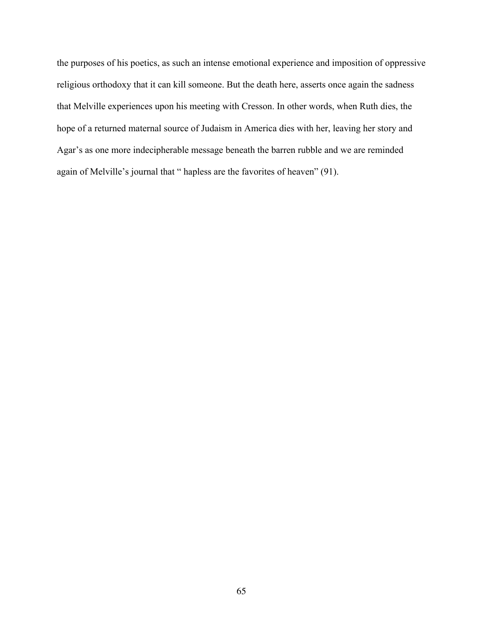the purposes of his poetics, as such an intense emotional experience and imposition of oppressive religious orthodoxy that it can kill someone. But the death here, asserts once again the sadness that Melville experiences upon his meeting with Cresson. In other words, when Ruth dies, the hope of a returned maternal source of Judaism in America dies with her, leaving her story and Agar's as one more indecipherable message beneath the barren rubble and we are reminded again of Melville's journal that " hapless are the favorites of heaven" (91).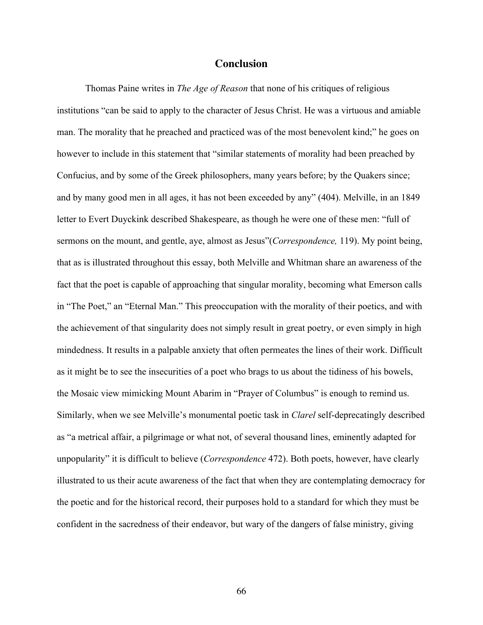## **Conclusion**

Thomas Paine writes in *The Age of Reason* that none of his critiques of religious institutions "can be said to apply to the character of Jesus Christ. He was a virtuous and amiable man. The morality that he preached and practiced was of the most benevolent kind;" he goes on however to include in this statement that "similar statements of morality had been preached by Confucius, and by some of the Greek philosophers, many years before; by the Quakers since; and by many good men in all ages, it has not been exceeded by any" (404). Melville, in an 1849 letter to Evert Duyckink described Shakespeare, as though he were one of these men: "full of sermons on the mount, and gentle, aye, almost as Jesus"(*Correspondence,* 119). My point being, that as is illustrated throughout this essay, both Melville and Whitman share an awareness of the fact that the poet is capable of approaching that singular morality, becoming what Emerson calls in "The Poet," an "Eternal Man." This preoccupation with the morality of their poetics, and with the achievement of that singularity does not simply result in great poetry, or even simply in high mindedness. It results in a palpable anxiety that often permeates the lines of their work. Difficult as it might be to see the insecurities of a poet who brags to us about the tidiness of his bowels, the Mosaic view mimicking Mount Abarim in "Prayer of Columbus" is enough to remind us. Similarly, when we see Melville's monumental poetic task in *Clarel* self-deprecatingly described as "a metrical affair, a pilgrimage or what not, of several thousand lines, eminently adapted for unpopularity" it is difficult to believe (*Correspondence* 472). Both poets, however, have clearly illustrated to us their acute awareness of the fact that when they are contemplating democracy for the poetic and for the historical record, their purposes hold to a standard for which they must be confident in the sacredness of their endeavor, but wary of the dangers of false ministry, giving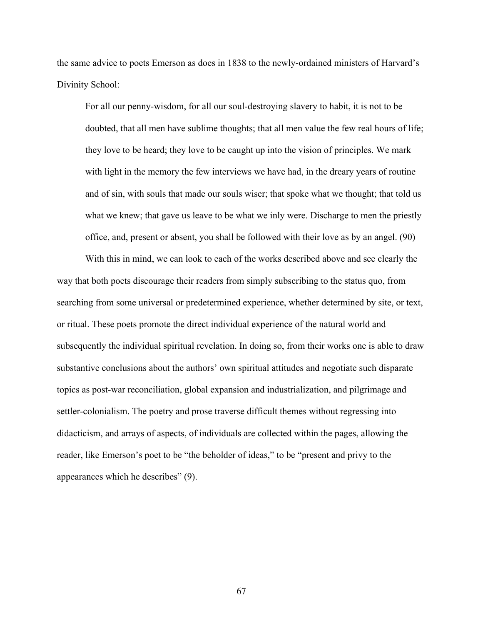the same advice to poets Emerson as does in 1838 to the newly-ordained ministers of Harvard's Divinity School:

For all our penny-wisdom, for all our soul-destroying slavery to habit, it is not to be doubted, that all men have sublime thoughts; that all men value the few real hours of life; they love to be heard; they love to be caught up into the vision of principles. We mark with light in the memory the few interviews we have had, in the dreary years of routine and of sin, with souls that made our souls wiser; that spoke what we thought; that told us what we knew; that gave us leave to be what we inly were. Discharge to men the priestly office, and, present or absent, you shall be followed with their love as by an angel. (90)

With this in mind, we can look to each of the works described above and see clearly the way that both poets discourage their readers from simply subscribing to the status quo, from searching from some universal or predetermined experience, whether determined by site, or text, or ritual. These poets promote the direct individual experience of the natural world and subsequently the individual spiritual revelation. In doing so, from their works one is able to draw substantive conclusions about the authors' own spiritual attitudes and negotiate such disparate topics as post-war reconciliation, global expansion and industrialization, and pilgrimage and settler-colonialism. The poetry and prose traverse difficult themes without regressing into didacticism, and arrays of aspects, of individuals are collected within the pages, allowing the reader, like Emerson's poet to be "the beholder of ideas," to be "present and privy to the appearances which he describes" (9).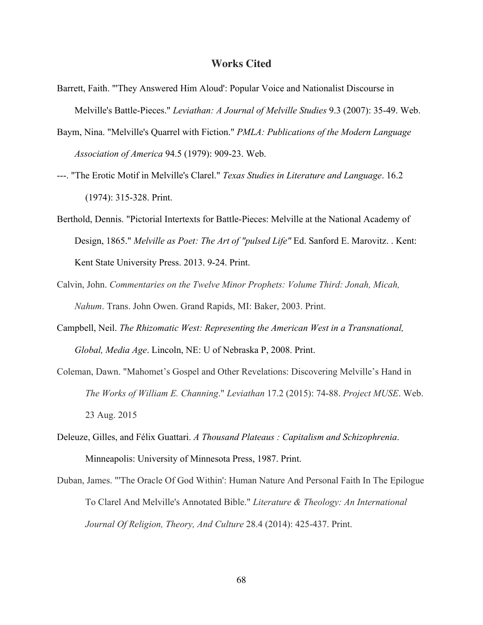## **Works Cited**

- Barrett, Faith. "'They Answered Him Aloud': Popular Voice and Nationalist Discourse in Melville's Battle-Pieces." *Leviathan: A Journal of Melville Studies* 9.3 (2007): 35-49. Web.
- Baym, Nina. "Melville's Quarrel with Fiction." *PMLA: Publications of the Modern Language Association of America* 94.5 (1979): 909-23. Web.
- ---. "The Erotic Motif in Melville's Clarel." *Texas Studies in Literature and Language*. 16.2 (1974): 315-328. Print.
- Berthold, Dennis. "Pictorial Intertexts for Battle-Pieces: Melville at the National Academy of Design, 1865." *Melville as Poet: The Art of "pulsed Life"* Ed. Sanford E. Marovitz. . Kent: Kent State University Press. 2013. 9-24. Print.
- Calvin, John. *Commentaries on the Twelve Minor Prophets: Volume Third: Jonah, Micah, Nahum*. Trans. John Owen. Grand Rapids, MI: Baker, 2003. Print.
- Campbell, Neil. *The Rhizomatic West: Representing the American West in a Transnational, Global, Media Age*. Lincoln, NE: U of Nebraska P, 2008. Print.
- Coleman, Dawn. "Mahomet's Gospel and Other Revelations: Discovering Melville's Hand in *The Works of William E. Channing*." *Leviathan* 17.2 (2015): 74-88. *Project MUSE*. Web. 23 Aug. 2015
- Deleuze, Gilles, and Félix Guattari. *A Thousand Plateaus : Capitalism and Schizophrenia*. Minneapolis: University of Minnesota Press, 1987. Print.
- Duban, James. "'The Oracle Of God Within': Human Nature And Personal Faith In The Epilogue To Clarel And Melville's Annotated Bible." *Literature & Theology: An International Journal Of Religion, Theory, And Culture* 28.4 (2014): 425-437. Print.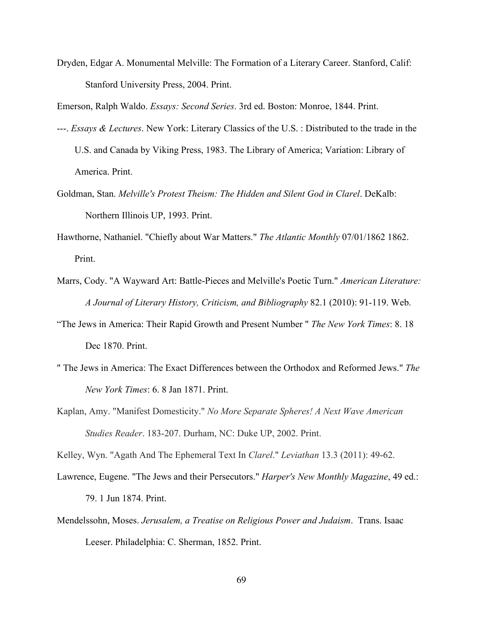Dryden, Edgar A. Monumental Melville: The Formation of a Literary Career. Stanford, Calif: Stanford University Press, 2004. Print.

Emerson, Ralph Waldo. *Essays: Second Series*. 3rd ed. Boston: Monroe, 1844. Print.

- ---. *Essays & Lectures*. New York: Literary Classics of the U.S. : Distributed to the trade in the U.S. and Canada by Viking Press, 1983. The Library of America; Variation: Library of America. Print.
- Goldman, Stan. *Melville's Protest Theism: The Hidden and Silent God in Clarel*. DeKalb: Northern Illinois UP, 1993. Print.
- Hawthorne, Nathaniel. "Chiefly about War Matters." *The Atlantic Monthly* 07/01/1862 1862. Print.
- Marrs, Cody. "A Wayward Art: Battle-Pieces and Melville's Poetic Turn." *American Literature: A Journal of Literary History, Criticism, and Bibliography* 82.1 (2010): 91-119. Web.
- "The Jews in America: Their Rapid Growth and Present Number " *The New York Times*: 8. 18 Dec 1870. Print.
- " The Jews in America: The Exact Differences between the Orthodox and Reformed Jews." *The New York Times*: 6. 8 Jan 1871. Print.
- Kaplan, Amy. "Manifest Domesticity." *No More Separate Spheres! A Next Wave American Studies Reader*. 183-207. Durham, NC: Duke UP, 2002. Print.

Kelley, Wyn. "Agath And The Ephemeral Text In *Clarel*." *Leviathan* 13.3 (2011): 49-62.

- Lawrence, Eugene. "The Jews and their Persecutors." *Harper's New Monthly Magazine*, 49 ed.: 79. 1 Jun 1874. Print.
- Mendelssohn, Moses. *Jerusalem, a Treatise on Religious Power and Judaism*. Trans. Isaac Leeser. Philadelphia: C. Sherman, 1852. Print.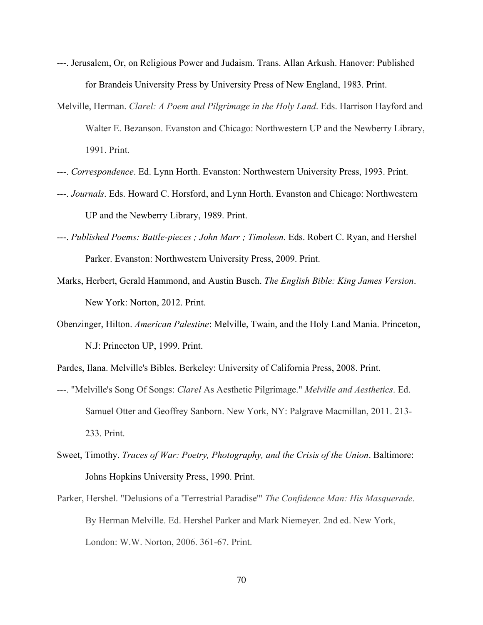- ---. Jerusalem, Or, on Religious Power and Judaism. Trans. Allan Arkush. Hanover: Published for Brandeis University Press by University Press of New England, 1983. Print.
- Melville, Herman. *Clarel: A Poem and Pilgrimage in the Holy Land*. Eds. Harrison Hayford and Walter E. Bezanson. Evanston and Chicago: Northwestern UP and the Newberry Library, 1991. Print.
- ---. *Correspondence*. Ed. Lynn Horth. Evanston: Northwestern University Press, 1993. Print.
- ---. *Journals*. Eds. Howard C. Horsford, and Lynn Horth. Evanston and Chicago: Northwestern UP and the Newberry Library, 1989. Print.
- ---. *Published Poems: Battle-pieces ; John Marr ; Timoleon.* Eds. Robert C. Ryan, and Hershel Parker. Evanston: Northwestern University Press, 2009. Print.
- Marks, Herbert, Gerald Hammond, and Austin Busch. *The English Bible: King James Version*. New York: Norton, 2012. Print.
- Obenzinger, Hilton. *American Palestine*: Melville, Twain, and the Holy Land Mania. Princeton, N.J: Princeton UP, 1999. Print.
- Pardes, Ilana. Melville's Bibles. Berkeley: University of California Press, 2008. Print.
- ---. "Melville's Song Of Songs: *Clarel* As Aesthetic Pilgrimage." *Melville and Aesthetics*. Ed. Samuel Otter and Geoffrey Sanborn. New York, NY: Palgrave Macmillan, 2011. 213- 233. Print.
- Sweet, Timothy. *Traces of War: Poetry, Photography, and the Crisis of the Union*. Baltimore: Johns Hopkins University Press, 1990. Print.
- Parker, Hershel. "Delusions of a 'Terrestrial Paradise'" *The Confidence Man: His Masquerade*. By Herman Melville. Ed. Hershel Parker and Mark Niemeyer. 2nd ed. New York, London: W.W. Norton, 2006. 361-67. Print.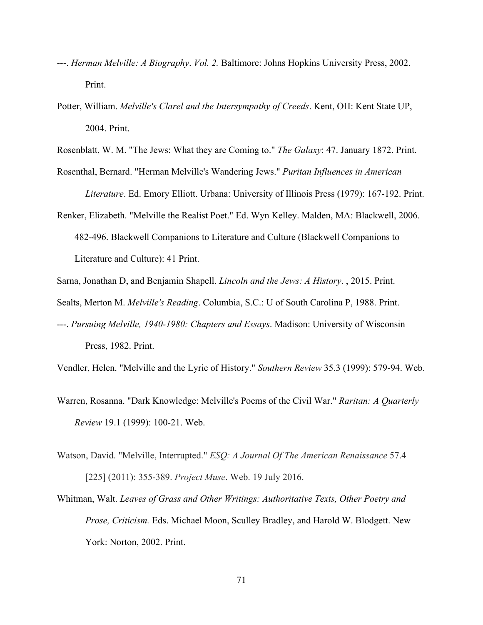- ---. *Herman Melville: A Biography*. *Vol. 2.* Baltimore: Johns Hopkins University Press, 2002. Print.
- Potter, William. *Melville's Clarel and the Intersympathy of Creeds*. Kent, OH: Kent State UP, 2004. Print.

Rosenblatt, W. M. "The Jews: What they are Coming to." *The Galaxy*: 47. January 1872. Print.

Rosenthal, Bernard. "Herman Melville's Wandering Jews." *Puritan Influences in American* 

*Literature*. Ed. Emory Elliott. Urbana: University of Illinois Press (1979): 167-192. Print.

Renker, Elizabeth. "Melville the Realist Poet." Ed. Wyn Kelley. Malden, MA: Blackwell, 2006. 482-496. Blackwell Companions to Literature and Culture (Blackwell Companions to Literature and Culture): 41 Print.

Sarna, Jonathan D, and Benjamin Shapell. *Lincoln and the Jews: A History*. , 2015. Print.

- Sealts, Merton M. *Melville's Reading*. Columbia, S.C.: U of South Carolina P, 1988. Print.
- ---. *Pursuing Melville, 1940-1980: Chapters and Essays*. Madison: University of Wisconsin Press, 1982. Print.

Vendler, Helen. "Melville and the Lyric of History." *Southern Review* 35.3 (1999): 579-94. Web.

- Warren, Rosanna. "Dark Knowledge: Melville's Poems of the Civil War." *Raritan: A Quarterly Review* 19.1 (1999): 100-21. Web.
- Watson, David. "Melville, Interrupted." *ESQ: A Journal Of The American Renaissance* 57.4 [225] (2011): 355-389. *Project Muse*. Web. 19 July 2016.
- Whitman, Walt. *Leaves of Grass and Other Writings: Authoritative Texts, Other Poetry and Prose, Criticism.* Eds. Michael Moon, Sculley Bradley, and Harold W. Blodgett. New York: Norton, 2002. Print.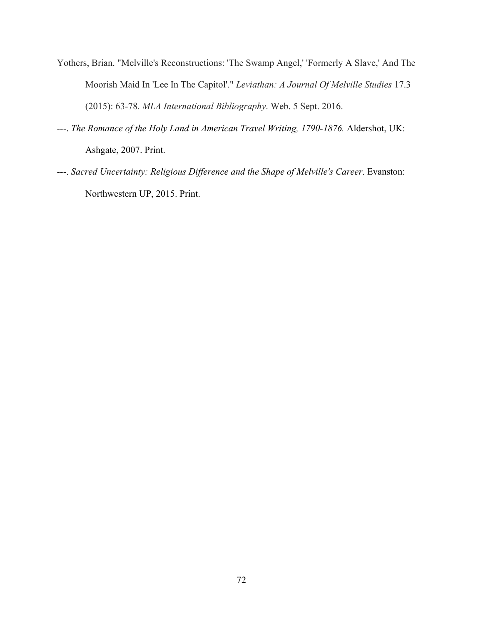- Yothers, Brian. "Melville's Reconstructions: 'The Swamp Angel,' 'Formerly A Slave,' And The Moorish Maid In 'Lee In The Capitol'." *Leviathan: A Journal Of Melville Studies* 17.3 (2015): 63-78. *MLA International Bibliography*. Web. 5 Sept. 2016.
- ---. *The Romance of the Holy Land in American Travel Writing, 1790-1876.* Aldershot, UK: Ashgate, 2007. Print.
- ---. *Sacred Uncertainty: Religious Difference and the Shape of Melville's Career*. Evanston: Northwestern UP, 2015. Print.